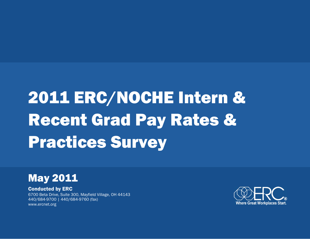# 2011 ERC/NOCHE Intern & Recent Grad Pay Rates & Practices Survey

## May 2011

Conducted by ERC 6700 Beta Drive, Suite 300, Mayfield Village, OH 44143 440/684-9700 | 440/684-9760 (fax) www.ercnet.org

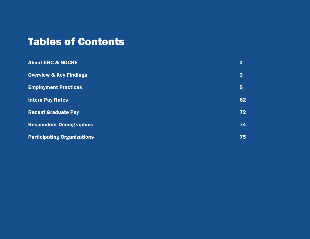# Tables of Contents

| <b>About ERC &amp; NOCHE</b>       | 2            |
|------------------------------------|--------------|
| <b>Overview &amp; Key Findings</b> | $\mathbf{3}$ |
| <b>Employment Practices</b>        | 5            |
| <b>Intern Pay Rates</b>            | 62           |
| <b>Recent Graduate Pay</b>         | 72           |
| <b>Respondent Demographics</b>     | 74           |
| <b>Participating Organizations</b> | 75           |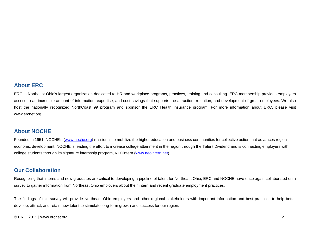#### **About ERC**

ERC is Northeast Ohio's largest organization dedicated to HR and workplace programs, practices, training and consulting. ERC membership provides employers access to an incredible amount of information, expertise, and cost savings that supports the attraction, retention, and development of great employees. We also host the nationally recognized NorthCoast 99 program and sponsor the ERC Health insurance program. For more information about ERC, please visit www.ercnet.org.

#### **About NOCHE**

Founded in 1951, NOCHE's (www.noche.org) mission is to mobilize the higher education and business communities for collective action that advances region economic development. NOCHE is leading the effort to increase college attainment in the region through the Talent Dividend and is connecting employers with college students through its signature internship program, NEOintern (www.neointern.net).

#### **Our Collaboration**

Recognizing that interns and new graduates are critical to developing a pipeline of talent for Northeast Ohio, ERC and NOCHE have once again collaborated on a survey to gather information from Northeast Ohio employers about their intern and recent graduate employment practices.

The findings of this survey will provide Northeast Ohio employers and other regional stakeholders with important information and best practices to help better develop, attract, and retain new talent to stimulate long-term growth and success for our region.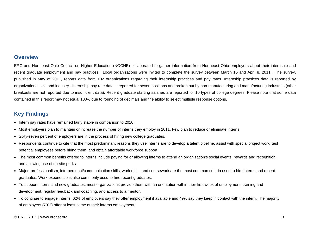#### **Overview**

ERC and Northeast Ohio Council on Higher Education (NOCHE) collaborated to gather information from Northeast Ohio employers about their internship and recent graduate employment and pay practices. Local organizations were invited to complete the survey between March 15 and April 8, 2011. The survey, published in May of 2011, reports data from 102 organizations regarding their internship practices and pay rates. Internship practices data is reported by organizational size and industry. Internship pay rate data is reported for seven positions and broken out by non-manufacturing and manufacturing industries (other breakouts are not reported due to insufficient data). Recent graduate starting salaries are reported for 10 types of college degrees. Please note that some data contained in this report may not equal 100% due to rounding of decimals and the ability to select multiple response options.

## **Key Findings**

- Intern pay rates have remained fairly stable in comparison to 2010.
- Most employers plan to maintain or increase the number of interns they employ in 2011. Few plan to reduce or eliminate interns.
- Sixty-seven percent of employers are in the process of hiring new college graduates.
- Respondents continue to cite that the most predominant reasons they use interns are to develop a talent pipeline, assist with special project work, test potential employees before hiring them, and obtain affordable workforce support.
- The most common benefits offered to interns include paying for or allowing interns to attend an organization's social events, rewards and recognition, and allowing use of on-site perks.
- Major, professionalism, interpersonal/communication skills, work ethic, and coursework are the most common criteria used to hire interns and recent graduates. Work experience is also commonly used to hire recent graduates.
- To support interns and new graduates, most organizations provide them with an orientation within their first week of employment, training and development, regular feedback and coaching, and access to a mentor.
- To continue to engage interns, 62% of employers say they offer employment if available and 49% say they keep in contact with the intern. The majority of employers (79%) offer at least some of their interns employment.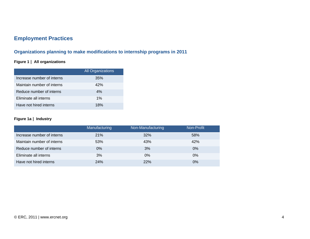## **Employment Practices**

## **Organizations planning to make modifications to internship programs in 2011**

#### **Figure 1 | All organizations**

|                            | <b>All Organizations</b> |
|----------------------------|--------------------------|
| Increase number of interns | 35%                      |
| Maintain number of interns | 42%                      |
| Reduce number of interns   | 4%                       |
| Eliminate all interns      | $1\%$                    |
| Have not hired interns     | 18%                      |

#### **Figure 1a | Industry**

|                            | Manufacturing | Non-Manufacturing | Non-Profit |
|----------------------------|---------------|-------------------|------------|
| Increase number of interns | 21%           | 32%               | 58%        |
| Maintain number of interns | 53%           | 43%               | 42%        |
| Reduce number of interns   | $0\%$         | 3%                | $0\%$      |
| Eliminate all interns      | 3%            | $0\%$             | $0\%$      |
| Have not hired interns     | 24%           | 22%               | $0\%$      |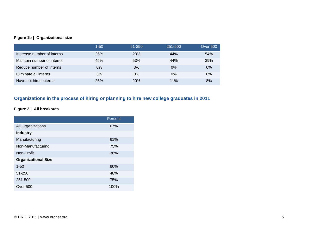#### **Figure 1b | Organizational size**

|                            | 1-50       | 51-250 | 251-500 | <b>Over 500</b> |
|----------------------------|------------|--------|---------|-----------------|
| Increase number of interns | <b>26%</b> | 23%    | 44%     | 54%             |
| Maintain number of interns | 45%        | 53%    | 44%     | 39%             |
| Reduce number of interns   | $0\%$      | 3%     | $0\%$   | 0%              |
| Eliminate all interns      | 3%         | 0%     | $0\%$   | 0%              |
| Have not hired interns     | 26%        | 20%    | 11%     | 8%              |

### **Organizations in the process of hiring or planning to hire new college graduates in 2011**

#### **Figure 2 | All breakouts**

|                            | Percent |
|----------------------------|---------|
| All Organizations          | 67%     |
| <b>Industry</b>            |         |
| Manufacturing              | 61%     |
| Non-Manufacturing          | 75%     |
| Non-Profit                 | 36%     |
| <b>Organizational Size</b> |         |
| $1 - 50$                   | 60%     |
| 51-250                     | 48%     |
| 251-500                    | 75%     |
| Over 500                   | 100%    |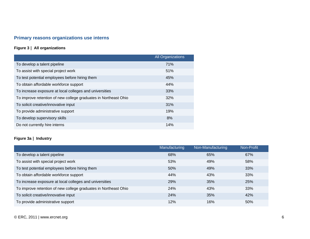## **Primary reasons organizations use interns**

#### **Figure 3 | All organizations**

|                                                                 | <b>All Organizations</b> |
|-----------------------------------------------------------------|--------------------------|
| To develop a talent pipeline                                    | 71%                      |
| To assist with special project work                             | 51%                      |
| To test potential employees before hiring them                  | 45%                      |
| To obtain affordable workforce support                          | 44%                      |
| To increase exposure at local colleges and universities         | 33%                      |
| To improve retention of new college graduates in Northeast Ohio | 32%                      |
| To solicit creative/innovative input                            | 31%                      |
| To provide administrative support                               | 19%                      |
| To develop supervisory skills                                   | 8%                       |
| Do not currently hire interns                                   | 14%                      |

#### **Figure 3a | Industry**

|                                                                 | Manufacturing | Non-Manufacturing | Non-Profit |
|-----------------------------------------------------------------|---------------|-------------------|------------|
| To develop a talent pipeline                                    | 68%           | 65%               | 67%        |
| To assist with special project work                             | 53%           | 49%               | 58%        |
| To test potential employees before hiring them                  | 50%           | 49%               | 33%        |
| To obtain affordable workforce support                          | 44%           | 43%               | 33%        |
| To increase exposure at local colleges and universities         | 29%           | 35%               | 25%        |
| To improve retention of new college graduates in Northeast Ohio | 24%           | 43%               | 33%        |
| To solicit creative/innovative input                            | 24%           | 35%               | 42%        |
| To provide administrative support                               | 12%           | 16%               | 50%        |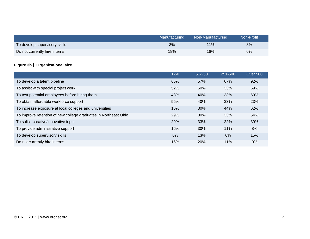|                               | Manufacturing | Non-Manufacturing | Non-Profit |
|-------------------------------|---------------|-------------------|------------|
| To develop supervisory skills | 3%            | 11%               | 8%         |
| Do not currently hire interns | 18%           | 16%               | $0\%$      |

#### **Figure 3b | Organizational size**

|                                                                 | $1 - 50$ | $51 - 250$ | 251-500    | <b>Over 500</b> |
|-----------------------------------------------------------------|----------|------------|------------|-----------------|
| To develop a talent pipeline                                    | 65%      | 57%        | 67%        | 92%             |
| To assist with special project work                             | 52%      | 50%        | 33%        | 69%             |
| To test potential employees before hiring them                  | 48%      | 40%        | 33%        | 69%             |
| To obtain affordable workforce support                          | 55%      | 40%        | 33%        | 23%             |
| To increase exposure at local colleges and universities         | 16%      | 30%        | 44%        | 62%             |
| To improve retention of new college graduates in Northeast Ohio | 29%      | 30%        | 33%        | 54%             |
| To solicit creative/innovative input                            | 29%      | 33%        | <b>22%</b> | 39%             |
| To provide administrative support                               | 16%      | 30%        | 11%        | 8%              |
| To develop supervisory skills                                   | $0\%$    | 13%        | $0\%$      | 15%             |
| Do not currently hire interns                                   | 16%      | 20%        | 11%        | $0\%$           |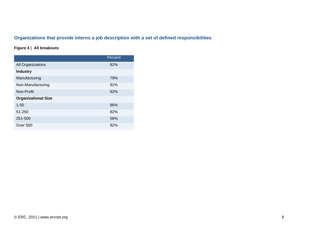## **Organizations that provide interns a job description with a set of defined responsibilities**

#### **Figure 4 | All breakouts**

|                            | Percent |
|----------------------------|---------|
| All Organizations          | 82%     |
| <b>Industry</b>            |         |
| Manufacturing              | 79%     |
| Non-Manufacturing          | 91%     |
| Non-Profit                 | 92%     |
| <b>Organizational Size</b> |         |
| $1 - 50$                   | 96%     |
| 51-250                     | 82%     |
| 251-500                    | 56%     |
| Over 500                   | 92%     |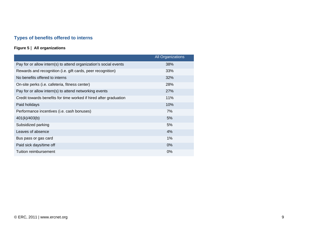## **Types of benefits offered to interns**

#### **Figure 5 | All organizations**

|                                                                   | <b>All Organizations</b> |
|-------------------------------------------------------------------|--------------------------|
| Pay for or allow intern(s) to attend organization's social events | 38%                      |
| Rewards and recognition (i.e. gift cards, peer recognition)       | 33%                      |
| No benefits offered to interns                                    | 32%                      |
| On-site perks (i.e. cafeteria, fitness center)                    | 28%                      |
| Pay for or allow intern(s) to attend networking events            | <b>27%</b>               |
| Credit towards benefits for time worked if hired after graduation | 11%                      |
| Paid holidays                                                     | 10%                      |
| Performance incentives (i.e. cash bonuses)                        | 7%                       |
| 401(k)/403(b)                                                     | 5%                       |
| Subsidized parking                                                | 5%                       |
| Leaves of absence                                                 | 4%                       |
| Bus pass or gas card                                              | $1\%$                    |
| Paid sick days/time off                                           | $0\%$                    |
| Tuition reimbursement                                             | $0\%$                    |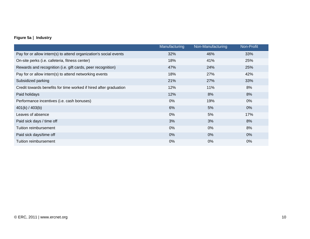#### **Figure 5a | Industry**

|                                                                   | Manufacturing | Non-Manufacturing | Non-Profit |
|-------------------------------------------------------------------|---------------|-------------------|------------|
| Pay for or allow intern(s) to attend organization's social events | 32%           | 46%               | 33%        |
| On-site perks (i.e. cafeteria, fitness center)                    | 18%           | 41%               | 25%        |
| Rewards and recognition (i.e. gift cards, peer recognition)       | 47%           | 24%               | 25%        |
| Pay for or allow intern(s) to attend networking events            | 18%           | 27%               | 42%        |
| Subsidized parking                                                | 21%           | <b>27%</b>        | 33%        |
| Credit towards benefits for time worked if hired after graduation | 12%           | 11%               | 8%         |
| Paid holidays                                                     | 12%           | 8%                | 8%         |
| Performance incentives (i.e. cash bonuses)                        | 0%            | 19%               | $0\%$      |
| 401(k) / 403(b)                                                   | 6%            | 5%                | $0\%$      |
| Leaves of absence                                                 | 0%            | 5%                | 17%        |
| Paid sick days / time off                                         | 3%            | 3%                | 8%         |
| Tuition reimbursement                                             | 0%            | $0\%$             | 8%         |
| Paid sick days/time off                                           | 0%            | $0\%$             | $0\%$      |
| Tuition reimbursement                                             | 0%            | 0%                | $0\%$      |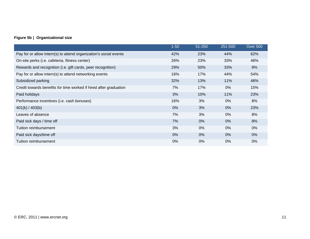#### **Figure 5b | Organizational size**

|                                                                   | $1 - 50$ | 51-250 | 251-500 | <b>Over 500</b> |
|-------------------------------------------------------------------|----------|--------|---------|-----------------|
| Pay for or allow intern(s) to attend organization's social events | 42%      | 23%    | 44%     | 62%             |
| On-site perks (i.e. cafeteria, fitness center)                    | 26%      | 23%    | 33%     | 46%             |
| Rewards and recognition (i.e. gift cards, peer recognition)       | 29%      | 50%    | 33%     | 8%              |
| Pay for or allow intern(s) to attend networking events            | 16%      | 17%    | 44%     | 54%             |
| Subsidized parking                                                | 32%      | 13%    | 11%     | 46%             |
| Credit towards benefits for time worked if hired after graduation | 7%       | 17%    | $0\%$   | 15%             |
| Paid holidays                                                     | 3%       | 10%    | 11%     | 23%             |
| Performance incentives (i.e. cash bonuses)                        | 16%      | 3%     | $0\%$   | 8%              |
| 401(k) / 403(b)                                                   | $0\%$    | 3%     | $0\%$   | 23%             |
| Leaves of absence                                                 | 7%       | 3%     | $0\%$   | 8%              |
| Paid sick days / time off                                         | 7%       | $0\%$  | $0\%$   | 8%              |
| Tuition reimbursement                                             | 3%       | $0\%$  | $0\%$   | $0\%$           |
| Paid sick days/time off                                           | $0\%$    | $0\%$  | $0\%$   | $0\%$           |
| Tuition reimbursement                                             | $0\%$    | $0\%$  | $0\%$   | $0\%$           |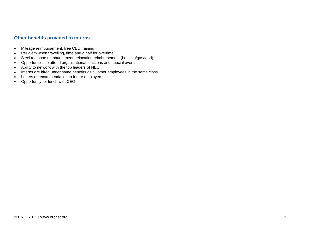#### **Other benefits provided to interns**

- Mileage reimbursement, free CEU training
- Per diem when travelling, time and a half for overtime
- Steel toe shoe reimbursement, relocation reimbursement (housing/gas/food)
- Opportunities to attend organizational functions and special events
- Ability to network with the top leaders of NEO
- Interns are hired under same benefits as all other employees in the same class
- Letters of recommendation to future employers
- Opportunity for lunch with CEO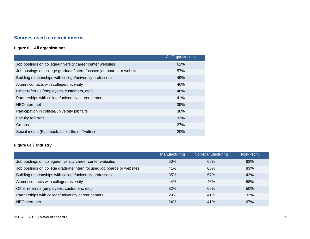#### **Sources used to recruit interns**

#### **Figure 6 | All organizations**

|                                                                        | <b>All Organizations</b> |
|------------------------------------------------------------------------|--------------------------|
| Job postings on college/university career center websites              | 61%                      |
| Job postings on college graduate/intern focused job boards or websites | 57%                      |
| Building relationships with college/university professors              | 49%                      |
| Alumni contacts with college/university                                | 46%                      |
| Other referrals (employees, customers, etc.)                           | 46%                      |
| Partnerships with college/university career centers                    | 41%                      |
| NEOintern.net                                                          | 39%                      |
| Participation in college/university job fairs                          | 38%                      |
| <b>Faculty referrals</b>                                               | 33%                      |
| Co-ops                                                                 | 27%                      |
| Social media (Facebook, LinkedIn, or Twitter)                          | <b>20%</b>               |

#### **Figure 6a | Industry**

|                                                                        | Manufacturing | Non-Manufacturing | Non-Profit |
|------------------------------------------------------------------------|---------------|-------------------|------------|
| Job postings on college/university career center websites              | 50%           | 60%               | 83%        |
| Job postings on college graduate/intern focused job boards or websites | 41%           | 60%               | 83%        |
| Building relationships with college/university professors              | 35%           | 57%               | 42%        |
| Alumni contacts with college/university                                | 44%           | 46%               | 58%        |
| Other referrals (employees, customers, etc.)                           | 32%           | 60%               | 50%        |
| Partnerships with college/university career centers                    | 29%           | 41%               | 33%        |
| NEOintern.net                                                          | 24%           | 41%               | 67%        |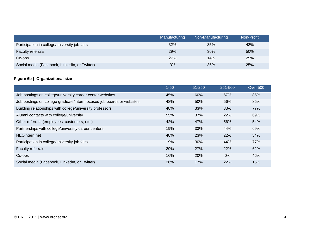|                                               | Manufacturing | Non-Manufacturing | Non-Profit |
|-----------------------------------------------|---------------|-------------------|------------|
| Participation in college/university job fairs | 32%           | 35%               | 42%        |
| <b>Faculty referrals</b>                      | <b>29%</b>    | 30%               | 50%        |
| Co-ops                                        | 27%           | 14%               | 25%        |
| Social media (Facebook, LinkedIn, or Twitter) | 3%            | 35%               | 25%        |

#### **Figure 6b | Organizational size**

|                                                                        | $1 - 50$ | 51-250     | 251-500 | <b>Over 500</b> |
|------------------------------------------------------------------------|----------|------------|---------|-----------------|
| Job postings on college/university career center websites              | 45%      | 60%        | 67%     | 85%             |
| Job postings on college graduate/intern focused job boards or websites | 48%      | 50%        | 56%     | 85%             |
| Building relationships with college/university professors              | 48%      | 33%        | 33%     | 77%             |
| Alumni contacts with college/university                                | 55%      | 37%        | 22%     | 69%             |
| Other referrals (employees, customers, etc.)                           | 42%      | 47%        | 56%     | 54%             |
| Partnerships with college/university career centers                    | 19%      | 33%        | 44%     | 69%             |
| NEOintern.net                                                          | 48%      | 23%        | 22%     | 54%             |
| Participation in college/university job fairs                          | 19%      | 30%        | 44%     | 77%             |
| Faculty referrals                                                      | 29%      | 27%        | 22%     | 62%             |
| Co-ops                                                                 | 16%      | <b>20%</b> | $0\%$   | 46%             |
| Social media (Facebook, LinkedIn, or Twitter)                          | 26%      | 17%        | 22%     | 15%             |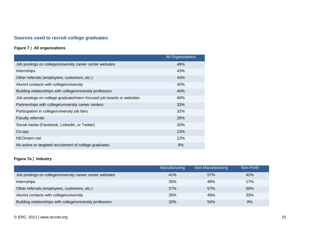## **Sources used to recruit college graduates**

#### **Figure 7 | All organizations**

|                                                                        | <b>All Organizations</b> |
|------------------------------------------------------------------------|--------------------------|
| Job postings on college/university career center websites              | 48%                      |
| Internships                                                            | 43%                      |
| Other referrals (employees, customers, etc.)                           | 43%                      |
| Alumni contacts with college/university                                | 40%                      |
| Building relationships with college/university professors              | 40%                      |
| Job postings on college graduate/intern focused job boards or websites | 40%                      |
| Partnerships with college/university career centers                    | 33%                      |
| Participation in college/university job fairs                          | 32%                      |
| <b>Faculty referrals</b>                                               | 25%                      |
| Social media (Facebook, LinkedIn, or Twitter)                          | <b>20%</b>               |
| Co-ops                                                                 | 13%                      |
| NEOintern.net                                                          | 12%                      |
| No active or targeted recruitment of college graduates                 | 8%                       |

#### **Figure 7a | Industry**

|                                                           | Manufacturing | Non-Manufacturing | Non-Profit |
|-----------------------------------------------------------|---------------|-------------------|------------|
| Job postings on college/university career center websites | 41%           | 57%               | 42%        |
| Internships                                               | 35%           | 49%               | 17%        |
| Other referrals (employees, customers, etc.)              | 27%           | 57%               | 50%        |
| Alumni contacts with college/university                   | 35%           | 49%               | 33%        |
| Building relationships with college/university professors | 32%           | 54%               | 8%         |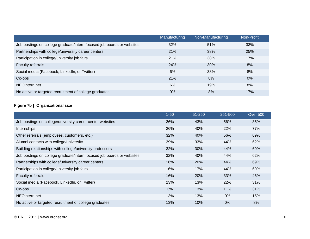|                                                                        | Manufacturing | Non-Manufacturing | Non-Profit |
|------------------------------------------------------------------------|---------------|-------------------|------------|
| Job postings on college graduate/intern focused job boards or websites | 32%           | 51%               | 33%        |
| Partnerships with college/university career centers                    | 21%           | 38%               | 25%        |
| Participation in college/university job fairs                          | 21%           | 38%               | 17%        |
| <b>Faculty referrals</b>                                               | 24%           | 30%               | 8%         |
| Social media (Facebook, LinkedIn, or Twitter)                          | 6%            | 38%               | 8%         |
| Co-ops                                                                 | 21%           | 8%                | $0\%$      |
| NEOintern.net                                                          | 6%            | 19%               | 8%         |
| No active or targeted recruitment of college graduates                 | 9%            | 8%                | 17%        |

#### **Figure 7b | Organizational size**

|                                                                        | $1 - 50$ | 51-250 | 251-500 | Over 500 |
|------------------------------------------------------------------------|----------|--------|---------|----------|
| Job postings on college/university career center websites              | 36%      | 43%    | 56%     | 85%      |
| <b>Internships</b>                                                     | 26%      | 40%    | 22%     | 77%      |
| Other referrals (employees, customers, etc.)                           | 32%      | 40%    | 56%     | 69%      |
| Alumni contacts with college/university                                | 39%      | 33%    | 44%     | 62%      |
| Building relationships with college/university professors              | 32%      | 30%    | 44%     | 69%      |
| Job postings on college graduate/intern focused job boards or websites | 32%      | 40%    | 44%     | 62%      |
| Partnerships with college/university career centers                    | 16%      | 20%    | 44%     | 69%      |
| Participation in college/university job fairs                          | 16%      | 17%    | 44%     | 69%      |
| Faculty referrals                                                      | 16%      | 20%    | 33%     | 46%      |
| Social media (Facebook, LinkedIn, or Twitter)                          | 23%      | 13%    | 22%     | 31%      |
| Co-ops                                                                 | 3%       | 13%    | 11%     | 31%      |
| NEOintern.net                                                          | 13%      | 13%    | $0\%$   | 15%      |
| No active or targeted recruitment of college graduates                 | 13%      | 10%    | $0\%$   | 8%       |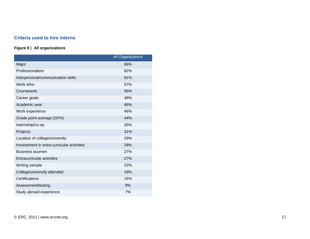#### **Criteria used to hire interns**

#### **Figure 8 | All organizations**

|                                            | All Organizations |
|--------------------------------------------|-------------------|
| Major                                      | 66%               |
| Professionalism                            | 62%               |
| Interpersonal/communication skills         | 61%               |
| Work ethic                                 | 57%               |
| Coursework                                 | 56%               |
| Career goals                               | 48%               |
| Academic year                              | 46%               |
| Work experience                            | 46%               |
| Grade point average (GPA)                  | 44%               |
| Internship/co-op                           | 35%               |
| Projects                                   | 31%               |
| Location of college/university             | 29%               |
| Involvement in extra-curricular activities | 28%               |
| <b>Business acumen</b>                     | 27%               |
| <b>Extracurricular activities</b>          | 27%               |
| Writing sample                             | 22%               |
| College/university attended                | 19%               |
| Certifications                             | 15%               |
| Assessment/testing                         | 9%                |
| Study abroad experience                    | 7%                |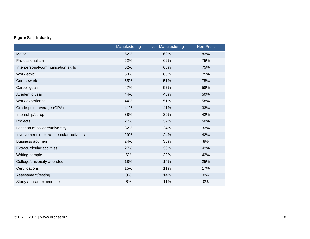#### **Figure 8a | Industry**

|                                            | Manufacturing | Non-Manufacturing | Non-Profit |
|--------------------------------------------|---------------|-------------------|------------|
| Major                                      | 62%           | 62%               | 83%        |
| Professionalism                            | 62%           | 62%               | 75%        |
| Interpersonal/communication skills         | 62%           | 65%               | 75%        |
| Work ethic                                 | 53%           | 60%               | 75%        |
| Coursework                                 | 65%           | 51%               | 75%        |
| Career goals                               | 47%           | 57%               | 58%        |
| Academic year                              | 44%           | 46%               | 50%        |
| Work experience                            | 44%           | 51%               | 58%        |
| Grade point average (GPA)                  | 41%           | 41%               | 33%        |
| Internship/co-op                           | 38%           | 30%               | 42%        |
| Projects                                   | 27%           | 32%               | 50%        |
| Location of college/university             | 32%           | 24%               | 33%        |
| Involvement in extra-curricular activities | 29%           | 24%               | 42%        |
| <b>Business acumen</b>                     | 24%           | 38%               | 8%         |
| <b>Extracurricular activities</b>          | 27%           | 30%               | 42%        |
| Writing sample                             | 6%            | 32%               | 42%        |
| College/university attended                | 18%           | 14%               | 25%        |
| Certifications                             | 15%           | 11%               | 17%        |
| Assessment/testing                         | 3%            | 14%               | 0%         |
| Study abroad experience                    | 6%            | 11%               | 0%         |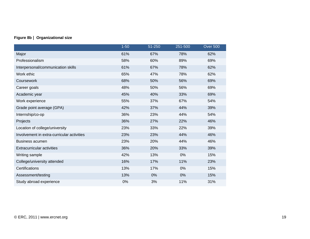#### **Figure 8b | Organizational size**

|                                            | $1 - 50$ | 51-250 | 251-500 | <b>Over 500</b> |
|--------------------------------------------|----------|--------|---------|-----------------|
| Major                                      | 61%      | 67%    | 78%     | 62%             |
| Professionalism                            | 58%      | 60%    | 89%     | 69%             |
| Interpersonal/communication skills         | 61%      | 67%    | 78%     | 62%             |
| Work ethic                                 | 65%      | 47%    | 78%     | 62%             |
| Coursework                                 | 68%      | 50%    | 56%     | 69%             |
| Career goals                               | 48%      | 50%    | 56%     | 69%             |
| Academic year                              | 45%      | 40%    | 33%     | 69%             |
| Work experience                            | 55%      | 37%    | 67%     | 54%             |
| Grade point average (GPA)                  | 42%      | 37%    | 44%     | 39%             |
| Internship/co-op                           | 36%      | 23%    | 44%     | 54%             |
| Projects                                   | 36%      | 27%    | 22%     | 46%             |
| Location of college/university             | 23%      | 33%    | 22%     | 39%             |
| Involvement in extra-curricular activities | 23%      | 23%    | 44%     | 46%             |
| <b>Business acumen</b>                     | 23%      | 20%    | 44%     | 46%             |
| <b>Extracurricular activities</b>          | 36%      | 20%    | 33%     | 39%             |
| Writing sample                             | 42%      | 13%    | 0%      | 15%             |
| College/university attended                | 16%      | 17%    | 11%     | 23%             |
| Certifications                             | 13%      | 17%    | 0%      | 15%             |
| Assessment/testing                         | 13%      | 0%     | 0%      | 15%             |
| Study abroad experience                    | 0%       | 3%     | 11%     | 31%             |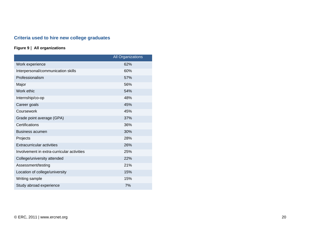## **Criteria used to hire new college graduates**

#### **Figure 9 | All organizations**

|                                            | <b>All Organizations</b> |
|--------------------------------------------|--------------------------|
| Work experience                            | 62%                      |
| Interpersonal/communication skills         | 60%                      |
| Professionalism                            | 57%                      |
| Major                                      | 56%                      |
| Work ethic                                 | 54%                      |
| Internship/co-op                           | 48%                      |
| Career goals                               | 45%                      |
| Coursework                                 | 45%                      |
| Grade point average (GPA)                  | 37%                      |
| Certifications                             | 36%                      |
| <b>Business acumen</b>                     | 30%                      |
| Projects                                   | 28%                      |
| <b>Extracurricular activities</b>          | 26%                      |
| Involvement in extra-curricular activities | 25%                      |
| College/university attended                | 22%                      |
| Assessment/testing                         | 21%                      |
| Location of college/university             | 15%                      |
| Writing sample                             | 15%                      |
| Study abroad experience                    | 7%                       |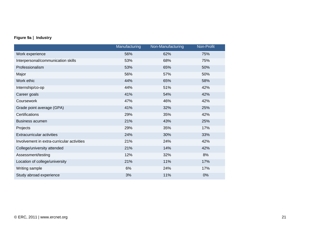#### **Figure 9a | Industry**

|                                            | Manufacturing | Non-Manufacturing | Non-Profit |
|--------------------------------------------|---------------|-------------------|------------|
| Work experience                            | 56%           | 62%               | 75%        |
| Interpersonal/communication skills         | 53%           | 68%               | 75%        |
| Professionalism                            | 53%           | 65%               | 50%        |
| Major                                      | 56%           | 57%               | 50%        |
| Work ethic                                 | 44%           | 65%               | 58%        |
| Internship/co-op                           | 44%           | 51%               | 42%        |
| Career goals                               | 41%           | 54%               | 42%        |
| Coursework                                 | 47%           | 46%               | 42%        |
| Grade point average (GPA)                  | 41%           | 32%               | 25%        |
| Certifications                             | 29%           | 35%               | 42%        |
| <b>Business acumen</b>                     | 21%           | 43%               | 25%        |
| Projects                                   | 29%           | 35%               | 17%        |
| <b>Extracurricular activities</b>          | 24%           | 30%               | 33%        |
| Involvement in extra-curricular activities | 21%           | 24%               | 42%        |
| College/university attended                | 21%           | 14%               | 42%        |
| Assessment/testing                         | 12%           | 32%               | 8%         |
| Location of college/university             | 21%           | 11%               | 17%        |
| Writing sample                             | 6%            | 24%               | 17%        |
| Study abroad experience                    | 3%            | 11%               | $0\%$      |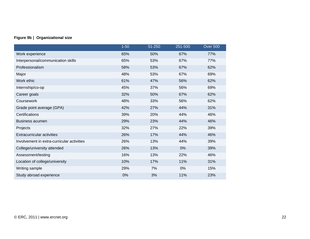#### **Figure 9b | Organizational size**

|                                            | $1 - 50$ | 51-250 | 251-500 | <b>Over 500</b> |
|--------------------------------------------|----------|--------|---------|-----------------|
| Work experience                            | 65%      | 50%    | 67%     | 77%             |
| Interpersonal/communication skills         | 65%      | 53%    | 67%     | 77%             |
| Professionalism                            | 58%      | 53%    | 67%     | 62%             |
| Major                                      | 48%      | 53%    | 67%     | 69%             |
| Work ethic                                 | 61%      | 47%    | 56%     | 62%             |
| Internship/co-op                           | 45%      | 37%    | 56%     | 69%             |
| Career goals                               | 32%      | 50%    | 67%     | 62%             |
| Coursework                                 | 48%      | 33%    | 56%     | 62%             |
| Grade point average (GPA)                  | 42%      | 27%    | 44%     | 31%             |
| Certifications                             | 39%      | 20%    | 44%     | 46%             |
| Business acumen                            | 29%      | 23%    | 44%     | 46%             |
| Projects                                   | 32%      | 27%    | 22%     | 39%             |
| <b>Extracurricular activities</b>          | 26%      | 17%    | 44%     | 46%             |
| Involvement in extra-curricular activities | 26%      | 13%    | 44%     | 39%             |
| College/university attended                | 26%      | 13%    | $0\%$   | 39%             |
| Assessment/testing                         | 16%      | 13%    | 22%     | 46%             |
| Location of college/university             | 10%      | 17%    | 11%     | 31%             |
| Writing sample                             | 29%      | 7%     | 0%      | 15%             |
| Study abroad experience                    | 0%       | 3%     | 11%     | 23%             |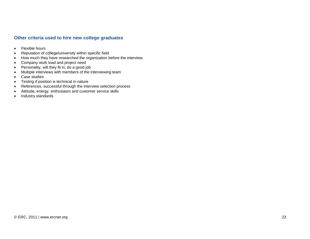#### **Other criteria used to hire new college graduates**

- Flexible hours
- Reputation of college/university within specific field
- How much they have researched the organization before the interview.
- Company work load and project need
- Personality, will they fit in, do a good job
- Multiple interviews with members of the interviewing team
- Case studies
- Testing if position is technical in nature
- References, successful through the interview selection process
- Attitude, energy, enthusiasm and customer service skills
- Industry standards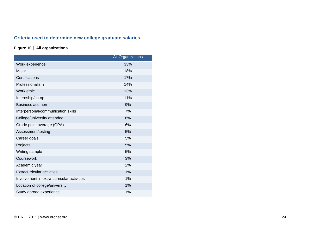## **Criteria used to determine new college graduate salaries**

#### **Figure 10 | All organizations**

|                                            | All Organizations |
|--------------------------------------------|-------------------|
| Work experience                            | 33%               |
| Major                                      | 18%               |
| Certifications                             | 17%               |
| Professionalism                            | 14%               |
| Work ethic                                 | 13%               |
| Internship/co-op                           | 11%               |
| <b>Business acumen</b>                     | 9%                |
| Interpersonal/communication skills         | 7%                |
| College/university attended                | 6%                |
| Grade point average (GPA)                  | 6%                |
| Assessment/testing                         | 5%                |
| Career goals                               | 5%                |
| Projects                                   | 5%                |
| Writing sample                             | 5%                |
| Coursework                                 | 3%                |
| Academic year                              | 2%                |
| <b>Extracurricular activities</b>          | 1%                |
| Involvement in extra-curricular activities | 1%                |
| Location of college/university             | 1%                |
| Study abroad experience                    | 1%                |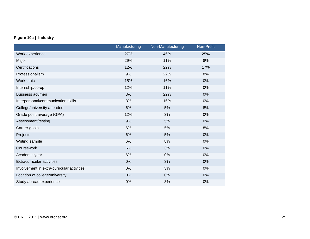#### **Figure 10a | Industry**

|                                            | Manufacturing | Non-Manufacturing | Non-Profit |
|--------------------------------------------|---------------|-------------------|------------|
| Work experience                            | 27%           | 46%               | 25%        |
| Major                                      | 29%           | 11%               | 8%         |
| Certifications                             | 12%           | 22%               | 17%        |
| Professionalism                            | 9%            | 22%               | 8%         |
| Work ethic                                 | 15%           | 16%               | 0%         |
| Internship/co-op                           | 12%           | 11%               | 0%         |
| <b>Business acumen</b>                     | 3%            | 22%               | 0%         |
| Interpersonal/communication skills         | 3%            | 16%               | 0%         |
| College/university attended                | 6%            | 5%                | 8%         |
| Grade point average (GPA)                  | 12%           | 3%                | 0%         |
| Assessment/testing                         | 9%            | 5%                | 0%         |
| Career goals                               | $6\%$         | 5%                | 8%         |
| Projects                                   | 6%            | 5%                | 0%         |
| Writing sample                             | 6%            | 8%                | 0%         |
| Coursework                                 | 6%            | 3%                | 0%         |
| Academic year                              | 6%            | 0%                | 0%         |
| <b>Extracurricular activities</b>          | 0%            | 3%                | 0%         |
| Involvement in extra-curricular activities | 0%            | 3%                | 0%         |
| Location of college/university             | 0%            | 0%                | 0%         |
| Study abroad experience                    | 0%            | 3%                | 0%         |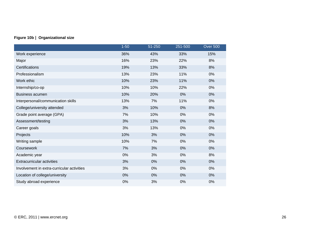#### **Figure 10b | Organizational size**

|                                            | $1 - 50$ | 51-250 | 251-500 | Over 500 |
|--------------------------------------------|----------|--------|---------|----------|
| Work experience                            | 36%      | 43%    | 33%     | 15%      |
| Major                                      | 16%      | 23%    | 22%     | 8%       |
| Certifications                             | 19%      | 13%    | 33%     | 8%       |
| Professionalism                            | 13%      | 23%    | 11%     | 0%       |
| Work ethic                                 | 10%      | 23%    | 11%     | 0%       |
| Internship/co-op                           | 10%      | 10%    | 22%     | 0%       |
| <b>Business acumen</b>                     | 10%      | 20%    | 0%      | 0%       |
| Interpersonal/communication skills         | 13%      | 7%     | 11%     | 0%       |
| College/university attended                | 3%       | 10%    | 0%      | 8%       |
| Grade point average (GPA)                  | 7%       | 10%    | 0%      | 0%       |
| Assessment/testing                         | 3%       | 13%    | 0%      | 0%       |
| Career goals                               | 3%       | 13%    | 0%      | $0\%$    |
| Projects                                   | 10%      | 3%     | 0%      | 0%       |
| Writing sample                             | 10%      | 7%     | 0%      | 0%       |
| Coursework                                 | 7%       | 3%     | 0%      | 0%       |
| Academic year                              | 0%       | 3%     | 0%      | 8%       |
| <b>Extracurricular activities</b>          | 3%       | 0%     | 0%      | 0%       |
| Involvement in extra-curricular activities | 3%       | 0%     | 0%      | 0%       |
| Location of college/university             | 0%       | 0%     | 0%      | 0%       |
| Study abroad experience                    | 0%       | 3%     | 0%      | 0%       |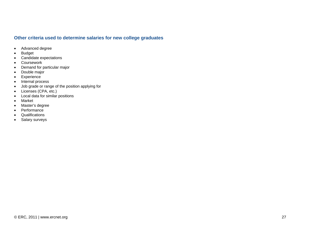#### **Other criteria used to determine salaries for new college graduates**

- Advanced degree
- Budget
- Candidate expectations
- Coursework
- Demand for particular major
- Double major
- Experience
- Internal process
- Job grade or range of the position applying for
- Licenses (CPA, etc.)
- Local data for similar positions
- Market
- Master's degree
- Performance
- Qualifications
- Salary surveys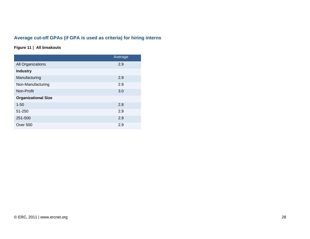## **Average cut-off GPAs (if GPA is used as criteria) for hiring interns**

#### **Figure 11 | All breakouts**

|                            | Average |
|----------------------------|---------|
| All Organizations          | 2.9     |
| <b>Industry</b>            |         |
| Manufacturing              | 2.9     |
| Non-Manufacturing          | 2.9     |
| Non-Profit                 | 3.0     |
| <b>Organizational Size</b> |         |
| $1 - 50$                   | 2.8     |
| 51-250                     | 2.9     |
| 251-500                    | 2.9     |
| Over 500                   | 2.9     |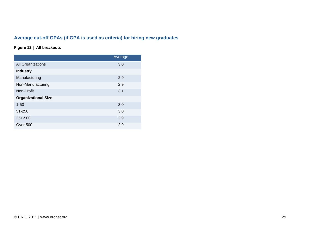## **Average cut-off GPAs (if GPA is used as criteria) for hiring new graduates**

#### **Figure 12 | All breakouts**

|                            | Average |
|----------------------------|---------|
| All Organizations          | 3.0     |
| <b>Industry</b>            |         |
| Manufacturing              | 2.9     |
| Non-Manufacturing          | 2.9     |
| Non-Profit                 | 3.1     |
| <b>Organizational Size</b> |         |
| $1 - 50$                   | 3.0     |
| 51-250                     | 3.0     |
| 251-500                    | 2.9     |
| Over 500                   | 2.9     |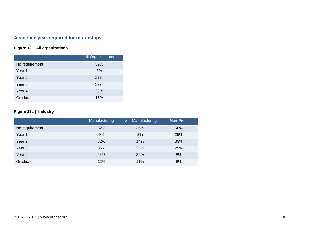## **Academic year required for internships**

#### **Figure 13 | All organizations**

|                   | <b>All Organizations</b> |
|-------------------|--------------------------|
| No requirement    | 32%                      |
| Year 1            | 8%                       |
| Year 2            | 27%                      |
| Year <sub>3</sub> | 39%                      |
| Year 4            | 29%                      |
| Graduate          | 15%                      |

#### **Figure 13a | Industry**

|                   | Manufacturing | Non-Manufacturing | Non-Profit |
|-------------------|---------------|-------------------|------------|
| No requirement    | 32%           | 35%               | 50%        |
| Year 1            | 9%            | 3%                | 25%        |
| Year <sub>2</sub> | 32%           | 14%               | 33%        |
| Year <sub>3</sub> | 35%           | 35%               | 25%        |
| Year 4            | 24%           | 32%               | 8%         |
| Graduate          | 12%           | 11%               | 8%         |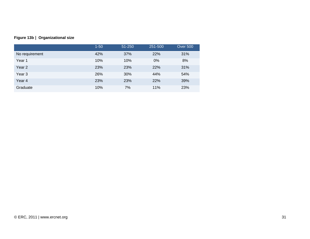#### **Figure 13b | Organizational size**

|                   | $1 - 50$ | 51-250 | 251-500 | Over 500 |
|-------------------|----------|--------|---------|----------|
| No requirement    | 42%      | 37%    | 22%     | 31%      |
| Year 1            | 10%      | 10%    | $0\%$   | 8%       |
| Year <sub>2</sub> | 23%      | 23%    | 22%     | 31%      |
| Year <sub>3</sub> | 26%      | 30%    | 44%     | 54%      |
| Year 4            | 23%      | 23%    | 22%     | 39%      |
| Graduate          | 10%      | 7%     | 11%     | 23%      |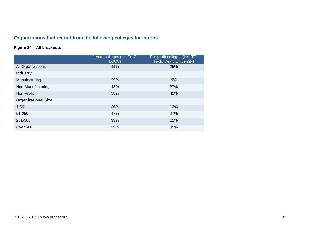## **Organizations that recruit from the following colleges for interns**

#### **Figure 14 | All breakouts**

|                            | 2-year colleges (i.e. Tri-C,<br>LCCC) | For-profit colleges (i.e. ITT-<br>Tech, Devry University) |
|----------------------------|---------------------------------------|-----------------------------------------------------------|
| All Organizations          | 41%                                   | 25%                                                       |
| <b>Industry</b>            |                                       |                                                           |
| Manufacturing              | 29%                                   | 9%                                                        |
| Non-Manufacturing          | 43%                                   | 27%                                                       |
| Non-Profit                 | 58%                                   | 42%                                                       |
| <b>Organizational Size</b> |                                       |                                                           |
| $1 - 50$                   | 36%                                   | 13%                                                       |
| 51-250                     | 47%                                   | 27%                                                       |
| 251-500                    | 33%                                   | 11%                                                       |
| <b>Over 500</b>            | 39%                                   | 39%                                                       |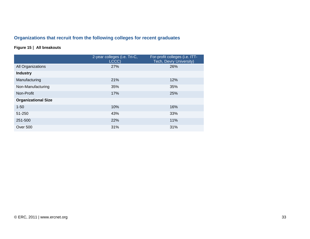## **Organizations that recruit from the following colleges for recent graduates**

#### **Figure 15 | All breakouts**

|                            | 2-year colleges (i.e. Tri-C,<br>LCCC) | For-profit colleges (i.e. ITT-<br>Tech, Devry University) |
|----------------------------|---------------------------------------|-----------------------------------------------------------|
| All Organizations          | 27%                                   | 26%                                                       |
| <b>Industry</b>            |                                       |                                                           |
| Manufacturing              | 21%                                   | 12%                                                       |
| Non-Manufacturing          | 35%                                   | 35%                                                       |
| Non-Profit                 | 17%                                   | 25%                                                       |
| <b>Organizational Size</b> |                                       |                                                           |
| $1 - 50$                   | 10%                                   | 16%                                                       |
| 51-250                     | 43%                                   | 33%                                                       |
| 251-500                    | 22%                                   | 11%                                                       |
| Over 500                   | 31%                                   | 31%                                                       |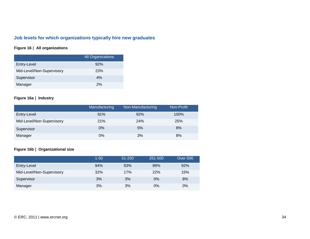## **Job levels for which organizations typically hire new graduates**

#### **Figure 16 | All organizations**

|                           | <b>All Organizations</b> |
|---------------------------|--------------------------|
| Entry-Level               | 92%                      |
| Mid-Level/Non-Supervisory | 23%                      |
| Supervisor                | 4%                       |
| Manager                   | 2%                       |

#### **Figure 16a | Industry**

|                           | Manufacturing | Non-Manufacturing | Non-Profit |
|---------------------------|---------------|-------------------|------------|
| Entry-Level               | 91%           | 92%               | 100%       |
| Mid-Level/Non-Supervisory | 21%           | 24%               | 25%        |
| Supervisor                | $0\%$         | 5%                | 8%         |
| Manager                   | $0\%$         | 3%                | 8%         |

#### **Figure 16b | Organizational size**

|                           | $1 - 50$ | 51-250 | 251-500 | <b>Over 500</b> |
|---------------------------|----------|--------|---------|-----------------|
| Entry-Level               | 94%      | 93%    | 89%     | 92%             |
| Mid-Level/Non-Supervisory | 32%      | 17%    | 22%     | 15%             |
| Supervisor                | 3%       | 3%     | $0\%$   | 8%              |
| Manager                   | 3%       | 3%     | 0%      | 0%              |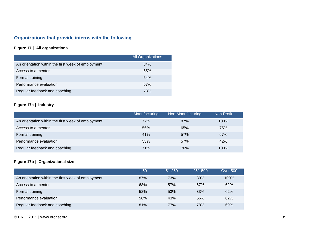## **Organizations that provide interns with the following**

#### **Figure 17 | All organizations**

|                                                    | All Organizations |
|----------------------------------------------------|-------------------|
| An orientation within the first week of employment | 84%               |
| Access to a mentor                                 | 65%               |
| Formal training                                    | 54%               |
| Performance evaluation                             | 57%               |
| Regular feedback and coaching                      | 78%               |

#### **Figure 17a | Industry**

|                                                    | Manufacturing | Non-Manufacturing | Non-Profit |
|----------------------------------------------------|---------------|-------------------|------------|
| An orientation within the first week of employment | <b>77%</b>    | 87%               | 100%       |
| Access to a mentor                                 | 56%           | 65%               | 75%        |
| Formal training                                    | 41%           | 57%               | 67%        |
| Performance evaluation                             | 53%           | 57%               | 42%        |
| Regular feedback and coaching                      | 71%           | 76%               | 100%       |

#### **Figure 17b | Organizational size**

|                                                    | 1-50 | $51 - 250$ | 251-500 | <b>Over 500</b> |
|----------------------------------------------------|------|------------|---------|-----------------|
| An orientation within the first week of employment | 87%  | 73%        | 89%     | 100%            |
| Access to a mentor                                 | 68%  | 57%        | 67%     | 62%             |
| Formal training                                    | 52%  | 53%        | 33%     | 62%             |
| Performance evaluation                             | 58%  | 43%        | 56%     | 62%             |
| Regular feedback and coaching                      | 81%  | 77%        | 78%     | 69%             |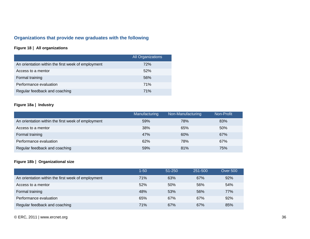# **Organizations that provide new graduates with the following**

### **Figure 18 | All organizations**

|                                                    | <b>All Organizations</b> |
|----------------------------------------------------|--------------------------|
| An orientation within the first week of employment | 72%                      |
| Access to a mentor                                 | 52%                      |
| Formal training                                    | 56%                      |
| Performance evaluation                             | 71%                      |
| Regular feedback and coaching                      | 71%                      |

### **Figure 18a | Industry**

|                                                    | Manufacturing | Non-Manufacturing | Non-Profit |
|----------------------------------------------------|---------------|-------------------|------------|
| An orientation within the first week of employment | 59%           | 78%               | 83%        |
| Access to a mentor                                 | 38%           | 65%               | 50%        |
| Formal training                                    | 47%           | 60%               | 67%        |
| Performance evaluation                             | 62%           | 78%               | 67%        |
| Regular feedback and coaching                      | 59%           | 81%               | 75%        |

### **Figure 18b | Organizational size**

|                                                    | 1-50 | $51 - 250$ | 251-500 | <b>Over 500</b> |
|----------------------------------------------------|------|------------|---------|-----------------|
| An orientation within the first week of employment | 71%  | 63%        | 67%     | 92%             |
| Access to a mentor                                 | 52%  | 50%        | 56%     | 54%             |
| Formal training                                    | 48%  | 53%        | 56%     | 77%             |
| Performance evaluation                             | 65%  | 67%        | 67%     | 92%             |
| Regular feedback and coaching                      | 71%  | 67%        | 67%     | 85%             |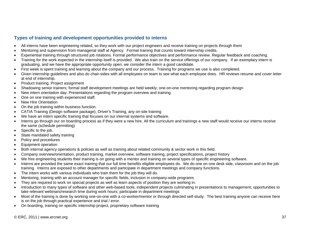## **Types of training and development opportunities provided to interns**

- All interns have been engineering related, so they work with our project engineers and receive training on projects through them
- Mentoring and supervision from managerial staff at Agency. Formal training that counts toward internship credits.
- Experiential training through structured job rotations. Formal performance objectives and performance review. Regular feedback and coaching.
- Training for the work expected in the internship itself is provided. We also train on the service offerings of our company. If an exemplary intern is graduating, and we have the appropriate opportunity open, we consider the intern a good candidate.
- First week is spent training and learning about the company and our process. Training for programs we use is also completed.
- Given internship guidelines and also do chair-sides with all employees on team to see what each employee does. HR reviews resume and cover letter at end of internship.
- Product training. Project assignment
- Shadowing senior trainers; formal staff development meetings are held weekly; one-on-one mentoring regarding program design
- New intern orientation day. Presentations regarding the program overview and training.
- One on one training with experienced staff.
- New Hire Orientation
- On the job training within business function.
- CATIA Training (Design software package), Driver's Training, any on-site training
- We have an intern specific training that focuses on our internal systems and software.
- Interns go through our on boarding process as if they were a new hire. All the curriculum and trainings a new staff would receive our interns receive the same (schedule permitting)
- Specific to the job.
- State mandated safety training
- Policy and procedures
- Equipment operation
- Both internal agency operations & policies as well as training about related community & sector work in this field.
- Company overview/orientation, product training, market overview, software training, project specifications, project history
- We hire engineering students their training is on going with a mentor and training on several types of specific engineering software.
- Interns are provided the same exact training that our full time benefits eligible employees do. We do one on one desk side, classroom and on the job training. Interns are exposed to other departments and participate in department meetings and company functions.
- The intern works with various individuals who train them for the job they will do.
- Mentoring, training with an account manager for specific fields, inclusion in company-wide programs
- They are required to work on special projects as well as learn aspects of position they are working in.
- Introduction to many types of software and other web-based tools; independent projects culminating in presentations to management; opportunities to take relevant webinars/research time during work hours; participate in department meetings
- Most of the training is done by working one-on-one with a co-worker/mentor or through directed self-study. The best training anyone can receive here is on the job through practical experience and trial / error.
- On boarding, training on specific internship project, proprietary software training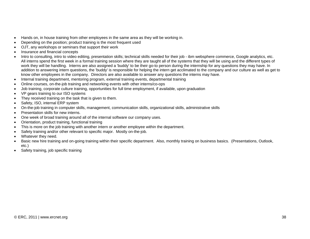- Hands on, in house training from other employees in the same area as they will be working in.
- Depending on the position; product training is the most frequent used
- OJT, any workshops or seminars that support their work
- Insurance and financial concepts
- Intro to consulting, intro to video editing, presentation skills; technical skills needed for their job ibm websphere commerce, Google analytics, etc. All interns spend the first week in a formal training session where they are taught all of the systems that they will be using and the different types of work they will be handling. Interns are also assigned a 'buddy' to be their go-to person during the internship for any questions they may have. In addition to answering intern questions, the 'buddy' is responsible for helping the intern get acclimated to the company and our culture as well as get to know other employees in the company. Directors are also available to answer any questions the interns may have.
- Internal training department, mentoring program, external training events, departmental training
- Online courses, on-the-job training and networking events with other interns/co-ops
- Job training, corporate culture training, opportunities for full time employment, if available, upon graduation
- VP gears training to our ISO systems
- They received training on the task that is given to them.
- Safety, ISO, internal ERP system
- On-the-job training in computer skills, management, communication skills, organizational skills, administrative skills
- Presentation skills for new interns.
- One week of broad training around all of the internal software our company uses.
- Orientation, product training, functional training
- This is more on the job training with another intern or another employee within the department.
- Safety training and/or other relevant to specific major. Mostly on-the-job.
- Whatever they need.
- Basic new hire training and on-going training within their specific department. Also, monthly training on business basics. (Presentations, Outlook, etc.)
- Safety training, job specific training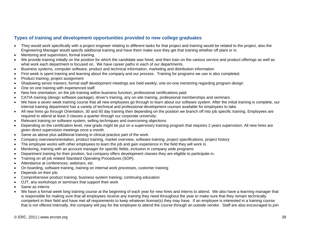## **Types of training and development opportunities provided to new college graduates**

- They would work specifically with a project engineer relating to different tasks for that project and training would be related to the project, also the Engineering Manager would specify additional training and have them make sure they get that training whether off plant or in.
- Mentoring and supervision, formal training.
- We provide training initially on the position for which the candidate was hired, and then train on the various service and product offerings as well as what work each department is focused on. We have career paths in each of our departments.
- Business systems, computer software, product and technical information, marketing and distribution information
- First week is spent training and learning about the company and our process. Training for programs we use is also completed.
- Product training; project assignment
- Shadowing senior trainers; formal staff development meetings are held weekly; one-on-one mentoring regarding program design
- One on one training with experienced staff.
- New hire orientation; on the job training within business function; professional certifications paid.
- CATIA training (design software package), driver's training, any on-site training, professional memberships and seminars.
- We have a seven week training course that all new employees go through to learn about our software system. After the initial training is complete, our internal training department has a variety of technical and professional development courses available for employees to take.
- All new hires go through Orientation, 30 and 60 day training then depending on the position we branch off into job specific training. Employees are required to attend at least 3 classes a quarter through our corporate university.
- Relevant training on software system, selling techniques and overcoming objections
- Depending on the certification level, new grads might be put on a supervisory training program that requires 2 years supervision. All new hires are given direct supervision meetings once a month.
- Same as above plus additional training in clinical practice part of the work.
- Company overview/orientation, product training, market overview, software training, project specifications, project history
- The employee works with other employees to learn the job and gain experience in the field they will work in.
- Mentoring, training with an account manager for specific fields, inclusion in company wide programs
- Department training for their position, but company offers development classes they are eligible to participate in.
- Training on all job related Standard Operating Procedures (SOP).
- Attendance at conferences, webinars, etc.
- On boarding, software training, training on internal work processes, customer training
- Depends on their job.
- Comprehensive product training; business system training; continuing education
- OJT, any workshops or seminars that support their work
- Same as interns
- We have a formal week long training course at the beginning of each year for new hires and interns to attend. We also have a learning manager that is responsible for making sure that all employees receive any training they need throughout the year to make sure that they remain technically competent in their field and have met all requirements to keep whatever license(s) they may have. If an employee is interested in a training course that is not offered internally, the company will pay for the employee to attend the course through an outside vendor. Staff are also encouraged to join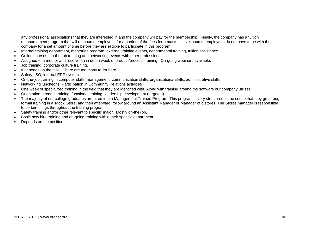any professional associations that they are interested in and the company will pay for the membership. Finally, the company has a tuition reimbursement program that will reimburse employees for a portion of the fees for a master's level course; employees do not have to be with the company for a set amount of time before they are eligible to participate in this program.

- Internal training department, mentoring program, external training events, departmental training, tuition assistance
- Online courses, on-the-job training and networking events with other professionals
- Assigned to a mentor and receive an in depth week of product/process training. On-going webinars available.
- Job training, corporate culture training.
- It depends on the task. There are too many to list here.
- Safety, ISO, internal ERP system
- On-the-job training in computer skills, management, communication skills, organizational skills, administrative skills
- Networking luncheons. Participation in Community Relations activities
- One week of specialized training in the field that they are identified with. Along with training around the software our company utilizes.
- Orientation, product training, functional training, leadership development (targeted)
- The majority of our college graduates are hired into a Management Trainee Program. This program is very structured in the sense that they go through formal training in a 'Mock' Store, and then afterward, follow around an Assistant Manager or Manager of a stores. The Stores manager is responsible to certain things throughout the training program.
- Safety training and/or other relevant to specific major. Mostly on-the-job.
- Basic new hire training and on-going training within their specific department
- Depends on the position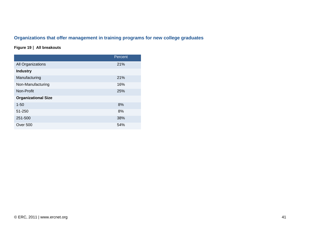# **Organizations that offer management in training programs for new college graduates**

### **Figure 19 | All breakouts**

|                            | Percent |
|----------------------------|---------|
| All Organizations          | 21%     |
| <b>Industry</b>            |         |
| Manufacturing              | 21%     |
| Non-Manufacturing          | 16%     |
| Non-Profit                 | 25%     |
| <b>Organizational Size</b> |         |
| $1 - 50$                   | 8%      |
| 51-250                     | 8%      |
| 251-500                    | 38%     |
| <b>Over 500</b>            | 54%     |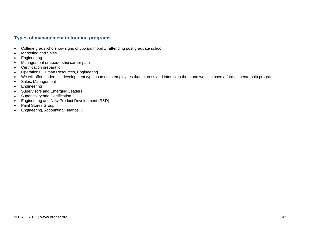## **Types of management in training programs**

- College grads who show signs of upward mobility, attending post graduate school.
- Marketing and Sales
- Engineering
- Management or Leadership career path
- Certification preparation
- Operations, Human Resources, Engineering
- We will offer leadership development type courses to employees that express and interest in them and we also have a formal mentorship program.
- Sales, Management
- Engineering
- Supervisors and Emerging Leaders
- Supervisory and Certification
- Engineering and New Product Development (R&D)
- Paint Stores Group
- Engineering, Accounting/Finance, I.T.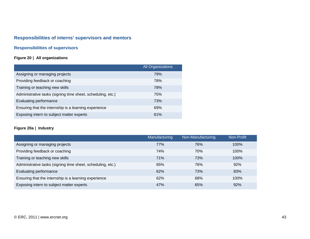# **Responsibilities of interns' supervisors and mentors**

## **Responsibilities of supervisors**

## **Figure 20 | All organizations**

|                                                             | <b>All Organizations</b> |
|-------------------------------------------------------------|--------------------------|
| Assigning or managing projects                              | 79%                      |
| Providing feedback or coaching                              | 78%                      |
| Training or teaching new skills                             | 78%                      |
| Administrative tasks (signing time sheet, scheduling, etc.) | 75%                      |
| Evaluating performance                                      | 73%                      |
| Ensuring that the internship is a learning experience       | 69%                      |
| Exposing intern to subject matter experts                   | 61%                      |

### **Figure 20a | Industry**

|                                                             | Manufacturing | Non-Manufacturing | Non-Profit |
|-------------------------------------------------------------|---------------|-------------------|------------|
| Assigning or managing projects                              | 77%           | 76%               | 100%       |
| Providing feedback or coaching                              | 74%           | 70%               | 100%       |
| Training or teaching new skills                             | 71%           | 73%               | 100%       |
| Administrative tasks (signing time sheet, scheduling, etc.) | 65%           | 76%               | 92%        |
| Evaluating performance                                      | 62%           | 73%               | 83%        |
| Ensuring that the internship is a learning experience       | 62%           | 68%               | 100%       |
| Exposing intern to subject matter experts                   | 47%           | 65%               | 92%        |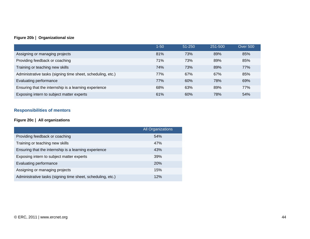## **Figure 20b | Organizational size**

|                                                             | $1 - 50$ | $51 - 250$ | 251-500 | <b>Over 500</b> |
|-------------------------------------------------------------|----------|------------|---------|-----------------|
| Assigning or managing projects                              | 81%      | 73%        | 89%     | 85%             |
| Providing feedback or coaching                              | 71%      | 73%        | 89%     | 85%             |
| Training or teaching new skills                             | 74%      | 73%        | 89%     | 77%             |
| Administrative tasks (signing time sheet, scheduling, etc.) | 77%      | 67%        | 67%     | 85%             |
| Evaluating performance                                      | 77%      | 60%        | 78%     | 69%             |
| Ensuring that the internship is a learning experience       | 68%      | 63%        | 89%     | 77%             |
| Exposing intern to subject matter experts                   | 61%      | 60%        | 78%     | 54%             |

# **Responsibilities of mentors**

### **Figure 20c | All organizations**

|                                                             | <b>All Organizations</b> |
|-------------------------------------------------------------|--------------------------|
| Providing feedback or coaching                              | 54%                      |
| Training or teaching new skills                             | 47%                      |
| Ensuring that the internship is a learning experience       | 43%                      |
| Exposing intern to subject matter experts                   | 39%                      |
| <b>Evaluating performance</b>                               | <b>20%</b>               |
| Assigning or managing projects                              | 15%                      |
| Administrative tasks (signing time sheet, scheduling, etc.) | 12%                      |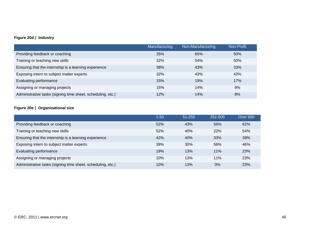# **Figure 20d | Industry**

|                                                             | Manufacturing | Non-Manufacturing | Non-Profit |
|-------------------------------------------------------------|---------------|-------------------|------------|
| Providing feedback or coaching                              | 35%           | 65%               | 50%        |
| Training or teaching new skills                             | 32%           | 54%               | 50%        |
| Ensuring that the internship is a learning experience       | 38%           | 43%               | 33%        |
| Exposing intern to subject matter experts                   | 32%           | 43%               | 42%        |
| Evaluating performance                                      | 15%           | 19%               | 17%        |
| Assigning or managing projects                              | 15%           | 14%               | 8%         |
| Administrative tasks (signing time sheet, scheduling, etc.) | 12%           | 14%               | 8%         |

# **Figure 20e | Organizational size**

|                                                             | $1 - 50$ | $51 - 250$ | $251 - 500$ | <b>Over 500</b> |
|-------------------------------------------------------------|----------|------------|-------------|-----------------|
| Providing feedback or coaching                              | 52%      | 43%        | 56%         | 62%             |
| Training or teaching new skills                             | 52%      | 40%        | 22%         | 54%             |
| Ensuring that the internship is a learning experience       | 42%      | 40%        | 33%         | 39%             |
| Exposing intern to subject matter experts                   | 39%      | 30%        | 56%         | 46%             |
| Evaluating performance                                      | 19%      | 13%        | 11%         | 23%             |
| Assigning or managing projects                              | 10%      | 13%        | 11%         | 23%             |
| Administrative tasks (signing time sheet, scheduling, etc.) | 10%      | 13%        | $0\%$       | 23%             |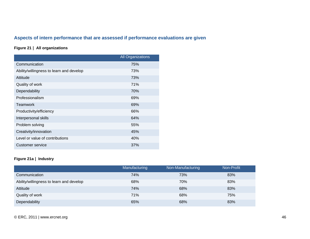# **Aspects of intern performance that are assessed if performance evaluations are given**

### **Figure 21 | All organizations**

|                                          | <b>All Organizations</b> |
|------------------------------------------|--------------------------|
| Communication                            | 75%                      |
| Ability/willingness to learn and develop | 73%                      |
| Attitude                                 | 73%                      |
| Quality of work                          | 71%                      |
| Dependability                            | 70%                      |
| Professionalism                          | 69%                      |
| <b>Teamwork</b>                          | 69%                      |
| Productivity/efficiency                  | 66%                      |
| Interpersonal skills                     | 64%                      |
| Problem solving                          | 55%                      |
| Creativity/innovation                    | 45%                      |
| Level or value of contributions          | 40%                      |
| Customer service                         | 37%                      |

### **Figure 21a | Industry**

|                                          | Manufacturing | Non-Manufacturing | Non-Profit |
|------------------------------------------|---------------|-------------------|------------|
| Communication                            | 74%           | 73%               | 83%        |
| Ability/willingness to learn and develop | 68%           | 70%               | 83%        |
| Attitude                                 | 74%           | 68%               | 83%        |
| Quality of work                          | 71%           | 68%               | 75%        |
| Dependability                            | 65%           | 68%               | 83%        |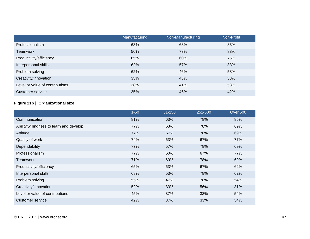|                                 | Manufacturing | Non-Manufacturing | Non-Profit |
|---------------------------------|---------------|-------------------|------------|
| Professionalism                 | 68%           | 68%               | 83%        |
| <b>Teamwork</b>                 | 56%           | 73%               | 83%        |
| Productivity/efficiency         | 65%           | 60%               | 75%        |
| Interpersonal skills            | 62%           | 57%               | 83%        |
| Problem solving                 | 62%           | 46%               | 58%        |
| Creativity/innovation           | 35%           | 43%               | 58%        |
| Level or value of contributions | 38%           | 41%               | 58%        |
| <b>Customer service</b>         | 35%           | 46%               | 42%        |

## **Figure 21b | Organizational size**

|                                          | $1 - 50$ | 51-250 | 251-500 | <b>Over 500</b> |
|------------------------------------------|----------|--------|---------|-----------------|
| Communication                            | 81%      | 63%    | 78%     | 85%             |
| Ability/willingness to learn and develop | 77%      | 63%    | 78%     | 69%             |
| Attitude                                 | 77%      | 67%    | 78%     | 69%             |
| Quality of work                          | 74%      | 63%    | 67%     | 77%             |
| Dependability                            | 77%      | 57%    | 78%     | 69%             |
| Professionalism                          | 77%      | 60%    | 67%     | 77%             |
| Teamwork                                 | 71%      | 60%    | 78%     | 69%             |
| Productivity/efficiency                  | 65%      | 63%    | 67%     | 62%             |
| Interpersonal skills                     | 68%      | 53%    | 78%     | 62%             |
| Problem solving                          | 55%      | 47%    | 78%     | 54%             |
| Creativity/innovation                    | 52%      | 33%    | 56%     | 31%             |
| Level or value of contributions          | 45%      | 37%    | 33%     | 54%             |
| Customer service                         | 42%      | 37%    | 33%     | 54%             |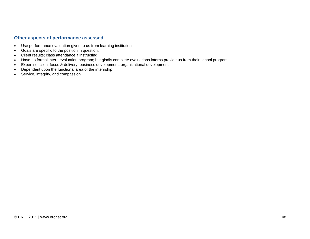### **Other aspects of performance assessed**

- Use performance evaluation given to us from learning institution
- Goals are specific to the position in question.
- Client results; class attendance if instructing
- Have no formal intern evaluation program; but gladly complete evaluations interns provide us from their school program
- Expertise, client focus & delivery, business development, organizational development
- Dependent upon the functional area of the internship
- Service, integrity, and compassion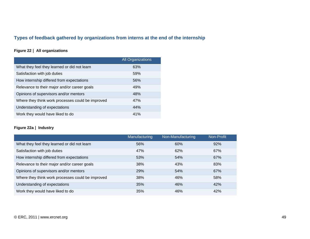# **Types of feedback gathered by organizations from interns at the end of the internship**

## **Figure 22 | All organizations**

|                                                   | <b>All Organizations</b> |
|---------------------------------------------------|--------------------------|
| What they feel they learned or did not learn      | 63%                      |
| Satisfaction with job duties                      | 59%                      |
| How internship differed from expectations         | 56%                      |
| Relevance to their major and/or career goals      | 49%                      |
| Opinions of supervisors and/or mentors            | 48%                      |
| Where they think work processes could be improved | 47%                      |
| Understanding of expectations                     | 44%                      |
| Work they would have liked to do                  | 41%                      |

### **Figure 22a | Industry**

|                                                   | Manufacturing | Non-Manufacturing | Non-Profit |
|---------------------------------------------------|---------------|-------------------|------------|
| What they feel they learned or did not learn      | 56%           | 60%               | 92%        |
| Satisfaction with job duties                      | 47%           | 62%               | 67%        |
| How internship differed from expectations         | 53%           | 54%               | 67%        |
| Relevance to their major and/or career goals      | 38%           | 43%               | 83%        |
| Opinions of supervisors and/or mentors            | 29%           | 54%               | 67%        |
| Where they think work processes could be improved | 38%           | 46%               | 58%        |
| Understanding of expectations                     | 35%           | 46%               | 42%        |
| Work they would have liked to do                  | 35%           | 46%               | 42%        |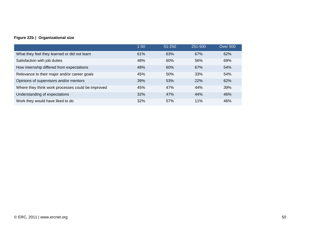## **Figure 22b | Organizational size**

|                                                   | $1 - 50$ | 51-250 | 251-500 | <b>Over 500</b> |
|---------------------------------------------------|----------|--------|---------|-----------------|
| What they feel they learned or did not learn      | 61%      | 63%    | 67%     | 62%             |
| Satisfaction with job duties                      | 48%      | 60%    | 56%     | 69%             |
| How internship differed from expectations         | 48%      | 60%    | 67%     | 54%             |
| Relevance to their major and/or career goals      | 45%      | 50%    | 33%     | 54%             |
| Opinions of supervisors and/or mentors            | 39%      | 53%    | 22%     | 62%             |
| Where they think work processes could be improved | 45%      | 47%    | 44%     | 39%             |
| Understanding of expectations                     | 32%      | 47%    | 44%     | 46%             |
| Work they would have liked to do                  | 32%      | 57%    | 11%     | 46%             |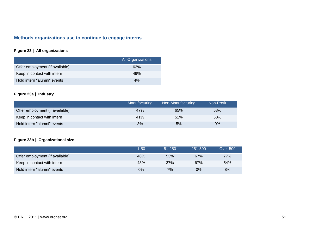# **Methods organizations use to continue to engage interns**

## **Figure 23 | All organizations**

|                                 | All Organizations |
|---------------------------------|-------------------|
| Offer employment (if available) | 62%               |
| Keep in contact with intern     | 49%               |
| Hold intern "alumni" events     | 4%                |

### **Figure 23a | Industry**

|                                 | Manufacturing | Non-Manufacturing | Non-Profit |
|---------------------------------|---------------|-------------------|------------|
| Offer employment (if available) | 47%           | 65%               | 58%        |
| Keep in contact with intern     | 41%           | 51%               | 50%        |
| Hold intern "alumni" events     | 3%            | 5%                | $0\%$      |

### **Figure 23b | Organizational size**

|                                 | 1-50  | $51 - 250$ | 251-500 | <b>Over 500</b> |
|---------------------------------|-------|------------|---------|-----------------|
| Offer employment (if available) | 48%   | 53%        | 67%     | 77%             |
| Keep in contact with intern     | 48%   | 37%        | 67%     | 54%             |
| Hold intern "alumni" events     | $0\%$ | 7%         | $0\%$   | 8%              |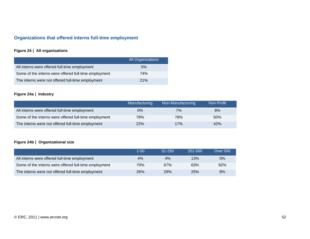# **Organizations that offered interns full-time employment**

## **Figure 24 | All organizations**

|                                                       | All Organizations |
|-------------------------------------------------------|-------------------|
| All interns were offered full-time employment         | 5%                |
| Some of the interns were offered full-time employment | 74%               |
| The interns were not offered full-time employment     | 21%               |

### **Figure 24a | Industry**

|                                                       | Manufacturing | Non-Manufacturing | Non-Profit |
|-------------------------------------------------------|---------------|-------------------|------------|
| All interns were offered full-time employment         | 0%            | 7%                | 8%         |
| Some of the interns were offered full-time employment | 78%           | 76%               | 50%        |
| The interns were not offered full-time employment     | 22%           | 17%               | 42%        |

### **Figure 24b | Organizational size**

|                                                       | $1 - 50$ | $51 - 250$ | 251-500 | <b>Over 500</b> |
|-------------------------------------------------------|----------|------------|---------|-----------------|
| All interns were offered full-time employment         | 4%       | 4%         | 13%     | 0%              |
| Some of the interns were offered full-time employment | 70%      | 67%        | 63%     | 92%             |
| The interns were not offered full-time employment     | 26%      | 29%        | 25%     | 8%              |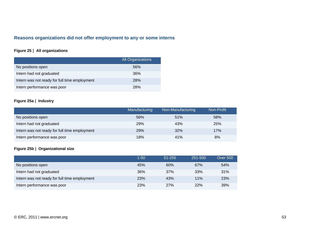# **Reasons organizations did not offer employment to any or some interns**

## **Figure 25 | All organizations**

|                                               | <b>All Organizations</b> |
|-----------------------------------------------|--------------------------|
| No positions open                             | 56%                      |
| Intern had not graduated                      | 36%                      |
| Intern was not ready for full time employment | <b>28%</b>               |
| Intern performance was poor                   | 28%                      |

### **Figure 25a | Industry**

|                                               | Manufacturing | Non-Manufacturing | Non-Profit |
|-----------------------------------------------|---------------|-------------------|------------|
| No positions open                             | 56%           | 51%               | 58%        |
| Intern had not graduated                      | 29%           | 43%               | 25%        |
| Intern was not ready for full time employment | 29%           | 32%               | 17%        |
| Intern performance was poor                   | 18%           | 41%               | 8%         |

### **Figure 25b | Organizational size**

|                                               | $1 - 50$ | 51-250 | 251-500 | <b>Over 500</b> |
|-----------------------------------------------|----------|--------|---------|-----------------|
| No positions open                             | 45%      | 60%    | 67%     | 54%             |
| Intern had not graduated                      | 36%      | 37%    | 33%     | 31%             |
| Intern was not ready for full time employment | 23%      | 43%    | 11%     | 23%             |
| Intern performance was poor                   | 23%      | 27%    | 22%     | 39%             |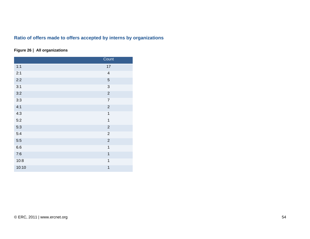# **Ratio of offers made to offers accepted by interns by organizations**

# **Figure 26 | All organizations**

|       | Count                   |
|-------|-------------------------|
| 1:1   | 17                      |
| 2:1   | $\overline{\mathbf{4}}$ |
| 2:2   | 5                       |
| 3:1   | $\overline{3}$          |
| 3:2   | $\overline{2}$          |
| 3:3   | $\overline{7}$          |
| 4:1   | $\sqrt{2}$              |
| 4:3   | $\mathbf 1$             |
| 5:2   | $\mathbf{1}$            |
| 5:3   | $\mathbf 2$             |
| 5:4   | $\sqrt{2}$              |
| 5:5   | $\overline{2}$          |
| 6.6   | $\mathbf{1}$            |
| 7:6   | $\mathbf{1}$            |
| 10:8  | $\mathbf{1}$            |
| 10:10 | $\mathbf{1}$            |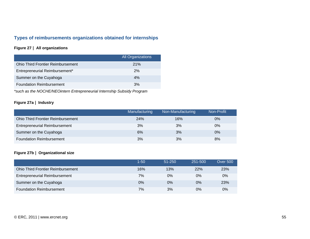# **Types of reimbursements organizations obtained for internships**

### **Figure 27 | All organizations**

|                                          | <b>All Organizations</b> |
|------------------------------------------|--------------------------|
| <b>Ohio Third Frontier Reimbursement</b> | 21%                      |
| Entrepreneurial Reimbursement*           | 2%                       |
| Summer on the Cuyahoga                   | 4%                       |
| <b>Foundation Reimbursement</b>          | 3%                       |

*\*such as the NOCHE/NEOintern Entrepreneurial Internship Subsidy Program* 

#### **Figure 27a | Industry**

|                                          | Manufacturing | Non-Manufacturing | Non-Profit |
|------------------------------------------|---------------|-------------------|------------|
| <b>Ohio Third Frontier Reimbursement</b> | 24%           | 16%               | $0\%$      |
| <b>Entrepreneurial Reimbursement</b>     | 3%            | 3%                | $0\%$      |
| Summer on the Cuyahoga                   | 6%            | 3%                | 0%         |
| <b>Foundation Reimbursement</b>          | 3%            | 3%                | 8%         |

#### **Figure 27b | Organizational size**

|                                          | $1 - 50$ | 51-250 | 251-500 | <b>Over 500</b> |
|------------------------------------------|----------|--------|---------|-----------------|
| <b>Ohio Third Frontier Reimbursement</b> | 16%      | 13%    | 22%     | 23%             |
| <b>Entrepreneurial Reimbursement</b>     | 7%       | $0\%$  | $0\%$   | $0\%$           |
| Summer on the Cuyahoga                   | $0\%$    | $0\%$  | $0\%$   | 23%             |
| <b>Foundation Reimbursement</b>          | 7%       | 3%     | 0%      | $0\%$           |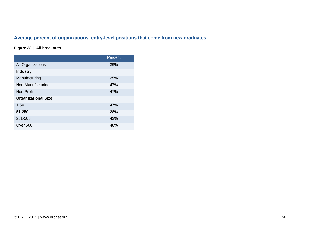# **Average percent of organizations' entry-level positions that come from new graduates**

## **Figure 28 | All breakouts**

|                            | Percent |
|----------------------------|---------|
| All Organizations          | 39%     |
| <b>Industry</b>            |         |
| Manufacturing              | 25%     |
| Non-Manufacturing          | 47%     |
| Non-Profit                 | 47%     |
| <b>Organizational Size</b> |         |
| $1 - 50$                   | 47%     |
| 51-250                     | 28%     |
| 251-500                    | 43%     |
| <b>Over 500</b>            | 48%     |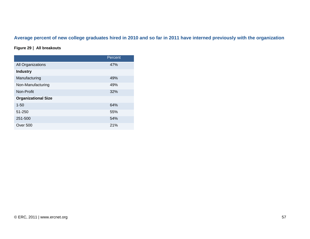# **Average percent of new college graduates hired in 2010 and so far in 2011 have interned previously with the organization**

### **Figure 29 | All breakouts**

|                            | Percent |
|----------------------------|---------|
| All Organizations          | 47%     |
| <b>Industry</b>            |         |
| Manufacturing              | 49%     |
| Non-Manufacturing          | 49%     |
| Non-Profit                 | 32%     |
| <b>Organizational Size</b> |         |
| $1 - 50$                   | 64%     |
| 51-250                     | 55%     |
| 251-500                    | 54%     |
| <b>Over 500</b>            | 21%     |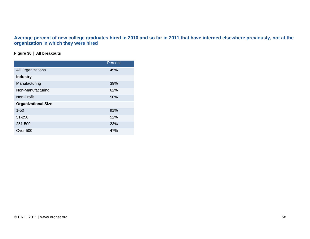### **Average percent of new college graduates hired in 2010 and so far in 2011 that have interned elsewhere previously, not at the organization in which they were hired**

### **Figure 30 | All breakouts**

|                            | Percent |
|----------------------------|---------|
| All Organizations          | 45%     |
| <b>Industry</b>            |         |
| Manufacturing              | 39%     |
| Non-Manufacturing          | 62%     |
| Non-Profit                 | 50%     |
| <b>Organizational Size</b> |         |
| $1 - 50$                   | 91%     |
| 51-250                     | 52%     |
| 251-500                    | 23%     |
| <b>Over 500</b>            | 47%     |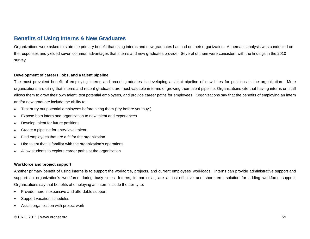# **Benefits of Using Interns & New Graduates**

Organizations were asked to state the primary benefit that using interns and new graduates has had on their organization. A thematic analysis was conducted on the responses and yielded seven common advantages that interns and new graduates provide. Several of them were consistent with the findings in the 2010 survey.

#### **Development of careers, jobs, and a talent pipeline**

The most prevalent benefit of employing interns and recent graduates is developing a talent pipeline of new hires for positions in the organization. More organizations are citing that interns and recent graduates are most valuable in terms of growing their talent pipeline. Organizations cite that having interns on staff allows them to grow their own talent, test potential employees, and provide career paths for employees. Organizations say that the benefits of employing an intern and/or new graduate include the ability to:

- Test or try out potential employees before hiring them ("try before you buy")
- Expose both intern and organization to new talent and experiences
- Develop talent for future positions
- Create a pipeline for entry-level talent
- Find employees that are a fit for the organization
- Hire talent that is familiar with the organization's operations
- Allow students to explore career paths at the organization

#### **Workforce and project support**

Another primary benefit of using interns is to support the workforce, projects, and current employees' workloads. Interns can provide administrative support and support an organization's workforce during busy times. Interns, in particular, are a cost-effective and short term solution for adding workforce support. Organizations say that benefits of employing an intern include the ability to:

- Provide more inexpensive and affordable support
- Support vacation schedules
- Assist organization with project work

#### © ERC, 2011 | www.ercnet.org 59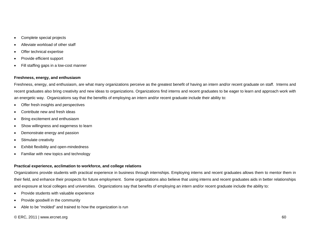- Complete special projects
- Alleviate workload of other staff
- Offer technical expertise
- Provide efficient support
- Fill staffing gaps in a low-cost manner

#### **Freshness, energy, and enthusiasm**

Freshness, energy, and enthusiasm, are what many organizations perceive as the greatest benefit of having an intern and/or recent graduate on staff. Interns and recent graduates also bring creativity and new ideas to organizations. Organizations find interns and recent graduates to be eager to learn and approach work with an energetic way. Organizations say that the benefits of employing an intern and/or recent graduate include their ability to:

- Offer fresh insights and perspectives
- Contribute new and fresh ideas
- Bring excitement and enthusiasm
- Show willingness and eagerness to learn
- Demonstrate energy and passion
- Stimulate creativity
- Exhibit flexibility and open-mindedness
- Familiar with new topics and technology

#### **Practical experience, acclimation to workforce, and college relations**

Organizations provide students with practical experience in business through internships. Employing interns and recent graduates allows them to mentor them in their field, and enhance their prospects for future employment. Some organizations also believe that using interns and recent graduates aids in better relationships and exposure at local colleges and universities. Organizations say that benefits of employing an intern and/or recent graduate include the ability to:

- Provide students with valuable experience
- Provide goodwill in the community
- Able to be "molded" and trained to how the organization is run

#### © ERC, 2011 | www.ercnet.org 60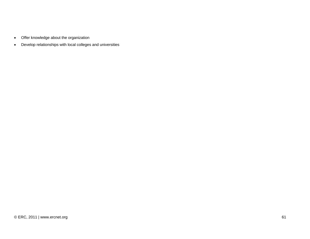- Offer knowledge about the organization
- Develop relationships with local colleges and universities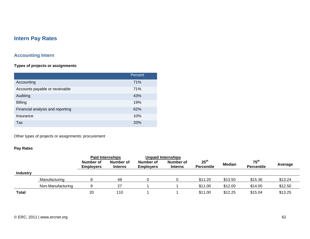# **Intern Pay Rates**

# **Accounting Intern**

### **Types of projects or assignments**

|                                  | Percent |
|----------------------------------|---------|
| Accounting                       | 71%     |
| Accounts payable or receivable   | 71%     |
| Auditing                         | 43%     |
| <b>Billing</b>                   | 19%     |
| Financial analysis and reporting | 62%     |
| Insurance                        | 10%     |
| Tax                              | 33%     |

Other types of projects or assignments: procurement

|                 |                   |                               | <b>Paid Internships</b><br><b>Unpaid Internships</b> |                               |                             |                                       |               |                                       |         |
|-----------------|-------------------|-------------------------------|------------------------------------------------------|-------------------------------|-----------------------------|---------------------------------------|---------------|---------------------------------------|---------|
|                 |                   | Number of<br><b>Employers</b> | Number of<br><b>Interns</b>                          | Number of<br><b>Employers</b> | Number of<br><b>Interns</b> | 25 <sup>th</sup><br><b>Percentile</b> | <b>Median</b> | $75^{\text{th}}$<br><b>Percentile</b> | Average |
| <b>Industry</b> |                   |                               |                                                      |                               |                             |                                       |               |                                       |         |
|                 | Manufacturing     |                               | 48                                                   |                               |                             | \$11.20                               | \$13.50       | \$15.36                               | \$13.24 |
|                 | Non-Manufacturing |                               | 27                                                   |                               |                             | \$11.00                               | \$12.00       | \$14.00                               | \$12.50 |
| <b>Total</b>    |                   | 20                            | 110                                                  |                               |                             | \$11.00                               | \$12.25       | \$15.04                               | \$13.25 |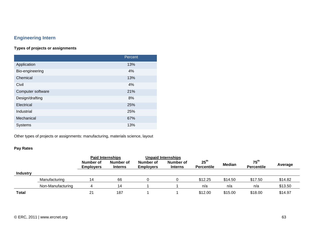# **Engineering Intern**

### **Types of projects or assignments**

|                   | Percent |
|-------------------|---------|
| Application       | 13%     |
| Bio-engineering   | 4%      |
| Chemical          | 13%     |
| Civil             | 4%      |
| Computer software | 21%     |
| Design/drafting   | 8%      |
| Electrical        | 25%     |
| Industrial        | 25%     |
| Mechanical        | 67%     |
| Systems           | 13%     |

Other types of projects or assignments: manufacturing, materials science, layout

|                 |                   | <b>Paid Internships</b>       |                             | <b>Unpaid Internships</b>     |                             |                                       |               |                                       |         |
|-----------------|-------------------|-------------------------------|-----------------------------|-------------------------------|-----------------------------|---------------------------------------|---------------|---------------------------------------|---------|
|                 |                   | Number of<br><b>Employers</b> | Number of<br><b>Interns</b> | Number of<br><b>Employers</b> | Number of<br><b>Interns</b> | 25 <sup>th</sup><br><b>Percentile</b> | <b>Median</b> | $75^{\text{th}}$<br><b>Percentile</b> | Average |
| <b>Industry</b> |                   |                               |                             |                               |                             |                                       |               |                                       |         |
|                 | Manufacturing     | 14                            | 66                          |                               |                             | \$12.25                               | \$14.50       | \$17.50                               | \$14.82 |
|                 | Non-Manufacturing |                               | 14                          |                               |                             | n/a                                   | n/a           | n/a                                   | \$13.50 |
| <b>Total</b>    |                   | 21                            | 187                         |                               |                             | \$12.00                               | \$15.00       | \$18.00                               | \$14.97 |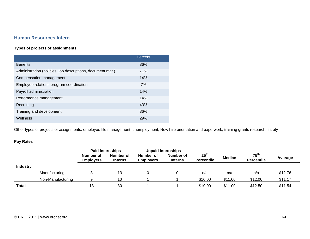### **Human Resources Intern**

#### **Types of projects or assignments**

|                                                            | Percent |
|------------------------------------------------------------|---------|
| <b>Benefits</b>                                            | 36%     |
| Administration (policies, job descriptions, document mgt.) | 71%     |
| Compensation management                                    | 14%     |
| Employee relations program coordination                    | 7%      |
| Payroll administration                                     | 14%     |
| Performance management                                     | 14%     |
| Recruiting                                                 | 43%     |
| Training and development                                   | 36%     |
| Wellness                                                   | 29%     |

Other types of projects or assignments: employee file management, unemployment, New hire orientation and paperwork, training grants research, safety

|                 |                   | <b>Paid Internships</b>       |                             | <b>Unpaid Internships</b>     |                             |                                       |               |                                       |         |
|-----------------|-------------------|-------------------------------|-----------------------------|-------------------------------|-----------------------------|---------------------------------------|---------------|---------------------------------------|---------|
|                 |                   | Number of<br><b>Employers</b> | Number of<br><b>Interns</b> | Number of<br><b>Employers</b> | Number of<br><b>Interns</b> | 25 <sup>th</sup><br><b>Percentile</b> | <b>Median</b> | $75^{\text{th}}$<br><b>Percentile</b> | Average |
| <b>Industry</b> |                   |                               |                             |                               |                             |                                       |               |                                       |         |
|                 | Manufacturing     |                               | 13                          |                               |                             | n/a                                   | n/a           | n/a                                   | \$12.76 |
|                 | Non-Manufacturing |                               | 10                          |                               |                             | \$10.00                               | \$11.00       | \$12.00                               | \$11.17 |
| <b>Total</b>    |                   | 13                            | 30                          |                               |                             | \$10.00                               | \$11.00       | \$12.50                               | \$11.54 |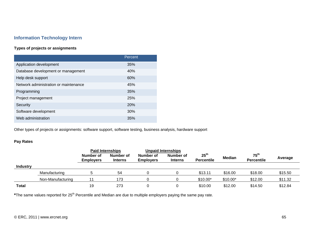# **Information Technology Intern**

#### **Types of projects or assignments**

|                                       | Percent    |
|---------------------------------------|------------|
| Application development               | 35%        |
| Database development or management    | 40%        |
| Help desk support                     | 60%        |
| Network administration or maintenance | 45%        |
| Programming                           | 35%        |
| Project management                    | 25%        |
| Security                              | <b>20%</b> |
| Software development                  | 30%        |
| Web administration                    | 35%        |

Other types of projects or assignments: software support, software testing, business analysis, hardware support

#### **Pay Rates**

|                 |                   | <b>Paid Internships</b>       |                             | <b>Unpaid Internships</b>     |                             |                                       |               |                                       |         |
|-----------------|-------------------|-------------------------------|-----------------------------|-------------------------------|-----------------------------|---------------------------------------|---------------|---------------------------------------|---------|
|                 |                   | Number of<br><b>Employers</b> | Number of<br><b>Interns</b> | Number of<br><b>Employers</b> | Number of<br><b>Interns</b> | $25^{\text{th}}$<br><b>Percentile</b> | <b>Median</b> | $75^{\text{th}}$<br><b>Percentile</b> | Average |
| <b>Industry</b> |                   |                               |                             |                               |                             |                                       |               |                                       |         |
|                 | Manufacturing     |                               | 54                          |                               |                             | \$13.11                               | \$16.00       | \$18.00                               | \$15.50 |
|                 | Non-Manufacturing |                               | 173                         |                               |                             | $$10.00*$                             | $$10.00*$     | \$12.00                               | \$11.32 |
| <b>Total</b>    |                   | 19                            | 273                         |                               |                             | \$10.00                               | \$12.00       | \$14.50                               | \$12.84 |

\*The same values reported for 25<sup>th</sup> Percentile and Median are due to multiple employers paying the same pay rate.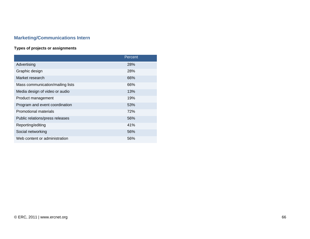# **Marketing/Communications Intern**

## **Types of projects or assignments**

|                                  | Percent |
|----------------------------------|---------|
| Advertising                      | 28%     |
| Graphic design                   | 28%     |
| Market research                  | 66%     |
| Mass communication/mailing lists | 66%     |
| Media design of video or audio   | 13%     |
| Product management               | 19%     |
| Program and event coordination   | 53%     |
| <b>Promotional materials</b>     | 72%     |
| Public relations/press releases  | 56%     |
| Reporting/editing                | 41%     |
| Social networking                | 56%     |
| Web content or administration    | 56%     |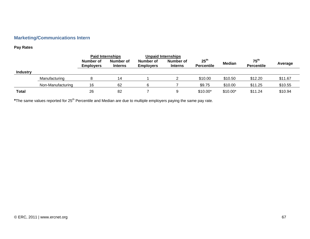# **Marketing/Communications Intern**

### **Pay Rates**

|                 |                   | <b>Paid Internships</b>       |                             | <b>Unpaid Internships</b>     |                             |                                       |               |                                       |         |
|-----------------|-------------------|-------------------------------|-----------------------------|-------------------------------|-----------------------------|---------------------------------------|---------------|---------------------------------------|---------|
|                 |                   | Number of<br><b>Employers</b> | Number of<br><b>Interns</b> | Number of<br><b>Employers</b> | Number of<br><b>Interns</b> | 25 <sup>th</sup><br><b>Percentile</b> | <b>Median</b> | $75^{\text{th}}$<br><b>Percentile</b> | Average |
| <b>Industry</b> |                   |                               |                             |                               |                             |                                       |               |                                       |         |
|                 | Manufacturing     |                               | 14                          |                               |                             | \$10.00                               | \$10.50       | \$12.20                               | \$11.67 |
|                 | Non-Manufacturing | 16                            | 62                          |                               |                             | \$9.75                                | \$10.00       | \$11.25                               | \$10.55 |
| <b>Total</b>    |                   | 26                            | 82                          |                               |                             | $$10.00*$                             | $$10.00*$     | \$11.24                               | \$10.94 |

\*The same values reported for 25<sup>th</sup> Percentile and Median are due to multiple employers paying the same pay rate.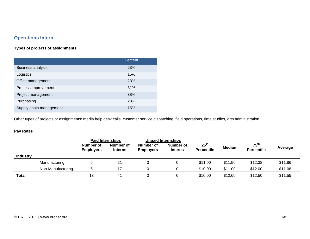## **Operations Intern**

## **Types of projects or assignments**

|                          | Percent |
|--------------------------|---------|
| <b>Business analysis</b> | 23%     |
| Logistics                | 15%     |
| Office management        | 23%     |
| Process improvement      | 31%     |
| Project management       | 38%     |
| Purchasing               | 23%     |
| Supply chain management  | 15%     |

Other types of projects or assignments: media help desk calls, customer service dispatching, field operations, time studies, arts administration

|                 |                   | <b>Paid Internships</b>       |                             | <b>Unpaid Internships</b>     |                             |                                       |               |                                       |         |
|-----------------|-------------------|-------------------------------|-----------------------------|-------------------------------|-----------------------------|---------------------------------------|---------------|---------------------------------------|---------|
|                 |                   | Number of<br><b>Employers</b> | Number of<br><b>Interns</b> | Number of<br><b>Employers</b> | Number of<br><b>Interns</b> | 25 <sup>th</sup><br><b>Percentile</b> | <b>Median</b> | $75^{\text{th}}$<br><b>Percentile</b> | Average |
| <b>Industry</b> |                   |                               |                             |                               |                             |                                       |               |                                       |         |
|                 | Manufacturing     |                               | 21                          |                               |                             | \$11.00                               | \$11.50       | \$12.38                               | \$11.86 |
|                 | Non-Manufacturing | ี่ค                           | 17                          |                               |                             | \$10.00                               | \$11.00       | \$12.00                               | \$11.08 |
| <b>Total</b>    |                   | 13                            | -41                         |                               |                             | \$10.00                               | \$12.00       | \$12.50                               | \$11.55 |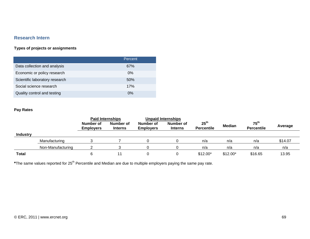#### **Research Intern**

### **Types of projects or assignments**

|                                | Percent |
|--------------------------------|---------|
| Data collection and analysis   | 67%     |
| Economic or policy research    | $0\%$   |
| Scientific laboratory research | 50%     |
| Social science research        | 17%     |
| Quality control and testing    | $0\%$   |

### **Pay Rates**

|                 |                   | <b>Paid Internships</b>       |                             | Unpaid Internships            |                             |                                       |               |                                       |         |
|-----------------|-------------------|-------------------------------|-----------------------------|-------------------------------|-----------------------------|---------------------------------------|---------------|---------------------------------------|---------|
|                 |                   | Number of<br><b>Employers</b> | Number of<br><b>Interns</b> | Number of<br><b>Employers</b> | Number of<br><b>Interns</b> | 25 <sup>th</sup><br><b>Percentile</b> | <b>Median</b> | 75 <sup>th</sup><br><b>Percentile</b> | Average |
| <b>Industry</b> |                   |                               |                             |                               |                             |                                       |               |                                       |         |
|                 | Manufacturing     |                               |                             |                               |                             | n/a                                   | n/a           | n/a                                   | \$14.07 |
|                 | Non-Manufacturing |                               |                             |                               |                             | n/a                                   | n/a           | n/a                                   | n/a     |
| <b>Total</b>    |                   |                               |                             |                               |                             | $$12.00*$                             | $$12.00*$     | \$16.65                               | 13.95   |

\*The same values reported for 25<sup>th</sup> Percentile and Median are due to multiple employers paying the same pay rate.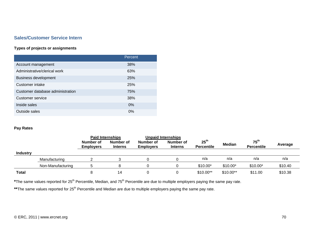# **Sales/Customer Service Intern**

#### **Types of projects or assignments**

|                                  | Percent |
|----------------------------------|---------|
| Account management               | 38%     |
| Administrative/clerical work     | 63%     |
| <b>Business development</b>      | 25%     |
| Customer intake                  | 25%     |
| Customer database administration | 75%     |
| Customer service                 | 38%     |
| Inside sales                     | $0\%$   |
| Outside sales                    | $0\%$   |

### **Pay Rates**

|                 |                   | <b>Paid Internships</b>       |                             | <b>Unpaid Internships</b>     |                             |                                       |               |                                       |         |
|-----------------|-------------------|-------------------------------|-----------------------------|-------------------------------|-----------------------------|---------------------------------------|---------------|---------------------------------------|---------|
|                 |                   | Number of<br><b>Employers</b> | Number of<br><b>Interns</b> | Number of<br><b>Employers</b> | Number of<br><b>Interns</b> | 25 <sup>th</sup><br><b>Percentile</b> | <b>Median</b> | 75 <sup>th</sup><br><b>Percentile</b> | Average |
| <b>Industry</b> |                   |                               |                             |                               |                             |                                       |               |                                       |         |
|                 | Manufacturing     |                               |                             |                               |                             | n/a                                   | n/a           | n/a                                   | n/a     |
|                 | Non-Manufacturing |                               |                             |                               |                             | $$10.00*$                             | $$10.00*$     | $$10.00*$                             | \$10.40 |
| <b>Total</b>    |                   |                               | 14                          |                               |                             | $$10.00**$                            | $$10.00**$    | \$11.00                               | \$10.38 |

\*The same values reported for 25<sup>th</sup> Percentile, Median, and 75<sup>th</sup> Percentile are due to multiple employers paying the same pay rate.

\*\*The same values reported for 25<sup>th</sup> Percentile and Median are due to multiple employers paying the same pay rate.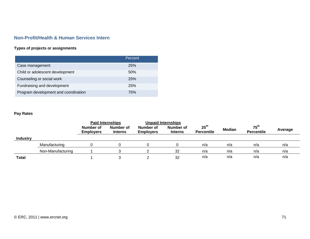### **Non-Profit/Health & Human Services Intern**

### **Types of projects or assignments**

|                                      | Percent |
|--------------------------------------|---------|
| Case management                      | 25%     |
| Child or adolescent development      | 50%     |
| Counseling or social work            | 25%     |
| Fundraising and development          | 25%     |
| Program development and coordination | 75%     |

|                 |                   | <b>Paid Internships</b>       |                             | <b>Unpaid Internships</b>     |                             |                                       |               |                                       |         |
|-----------------|-------------------|-------------------------------|-----------------------------|-------------------------------|-----------------------------|---------------------------------------|---------------|---------------------------------------|---------|
|                 |                   | Number of<br><b>Employers</b> | Number of<br><b>Interns</b> | Number of<br><b>Employers</b> | Number of<br><b>Interns</b> | 25 <sup>th</sup><br><b>Percentile</b> | <b>Median</b> | 75 <sup>th</sup><br><b>Percentile</b> | Average |
| <b>Industry</b> |                   |                               |                             |                               |                             |                                       |               |                                       |         |
|                 | Manufacturing     |                               |                             |                               |                             | n/a                                   | n/a           | n/a                                   | n/a     |
|                 | Non-Manufacturing |                               |                             |                               | 32                          | n/a                                   | n/a           | n/a                                   | n/a     |
| <b>Total</b>    |                   |                               |                             |                               | 32                          | n/a                                   | n/a           | n/a                                   | n/a     |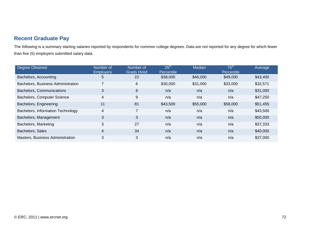## **Recent Graduate Pay**

The following is a summary starting salaries reported by respondents for common college degrees. Data are not reported for any degree for which fewer than five (5) employers submitted salary data.

| Degree Obtained                    | Number of<br><b>Employers</b> | Number of<br><b>Grads Hired</b> | 25 <sup>th</sup><br>Percentile | Median   | $75^{\text{th}}$<br>Percentile | Average  |
|------------------------------------|-------------------------------|---------------------------------|--------------------------------|----------|--------------------------------|----------|
| Bachelors, Accounting              | 5                             | 22                              | \$38,000                       | \$46,000 | \$49,000                       | \$43,400 |
| Bachelors, Business Administration |                               | 6                               | \$30,000                       | \$31,000 | \$33,000                       | \$32,571 |
| Bachelors, Communications          | 3                             | 6                               | n/a                            | n/a      | n/a                            | \$31,000 |
| Bachelors, Computer Science        | 4                             | 9                               | n/a                            | n/a      | n/a                            | \$47,250 |
| Bachelors, Engineering             | 11                            | 81                              | \$43,500                       | \$55,000 | \$58,000                       | \$51,455 |
| Bachelors, Information Technology  | 4                             | $\overline{7}$                  | n/a                            | n/a      | n/a                            | \$43,500 |
| Bachelors, Management              | 3                             | 3                               | n/a                            | n/a      | n/a                            | \$50,000 |
| Bachelors, Marketing               | 3                             | 27                              | n/a                            | n/a      | n/a                            | \$37,333 |
| Bachelors, Sales                   | 4                             | 34                              | n/a                            | n/a      | n/a                            | \$40,000 |
| Masters, Business Administration   | 3                             | 3                               | n/a                            | n/a      | n/a                            | \$37,000 |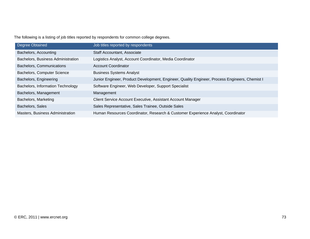The following is a listing of job titles reported by respondents for common college degrees.

| Degree Obtained                    | Job titles reported by respondents                                                             |
|------------------------------------|------------------------------------------------------------------------------------------------|
| Bachelors, Accounting              | Staff Accountant, Associate                                                                    |
| Bachelors, Business Administration | Logistics Analyst, Account Coordinator, Media Coordinator                                      |
| Bachelors, Communications          | <b>Account Coordinator</b>                                                                     |
| Bachelors, Computer Science        | <b>Business Systems Analyst</b>                                                                |
| Bachelors, Engineering             | Junior Engineer, Product Development, Engineer, Quality Engineer, Process Engineers, Chemist I |
| Bachelors, Information Technology  | Software Engineer, Web Developer, Support Specialist                                           |
| Bachelors, Management              | Management                                                                                     |
| Bachelors, Marketing               | Client Service Account Executive, Assistant Account Manager                                    |
| Bachelors, Sales                   | Sales Representative, Sales Trainee, Outside Sales                                             |
| Masters, Business Administration   | Human Resources Coordinator, Research & Customer Experience Analyst, Coordinator               |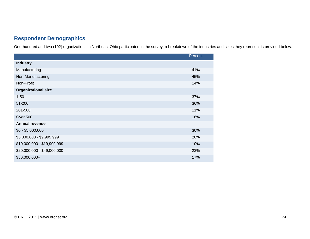## **Respondent Demographics**

One-hundred and two (102) organizations in Northeast Ohio participated in the survey; a breakdown of the industries and sizes they represent is provided below.

|                             | Percent |
|-----------------------------|---------|
| <b>Industry</b>             |         |
| Manufacturing               | 41%     |
| Non-Manufacturing           | 45%     |
| Non-Profit                  | 14%     |
| <b>Organizational size</b>  |         |
| $1 - 50$                    | 37%     |
| 51-200                      | 36%     |
| 201-500                     | 11%     |
| Over 500                    | 16%     |
| <b>Annual revenue</b>       |         |
| $$0 - $5,000,000$           | 30%     |
| \$5,000,000 - \$9,999,999   | 20%     |
| \$10,000,000 - \$19,999,999 | 10%     |
| \$20,000,000 - \$49,000,000 | 23%     |
| \$50,000,000+               | 17%     |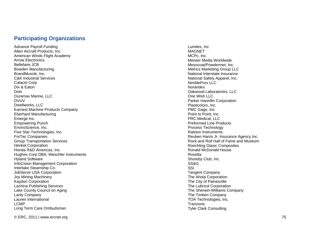## **Participating Organizations**

Advance Payroll Funding Allen Aircraft Products, Inc. American Winds Flight Academy Arrow Electronics Bellefaire JCB Bowden Manufacturing BrandMuscle, Inc. C&K Industrial Services Catacel Corp Dix & Eaton **Dots** Duramax Marine, LLC DVUV Dwellworks, LLC Earnest Machine Products Company Eberhard Manufacturing Emerge Inc. Empowering Punch EnviroScience, Inc. Five Star Technologies, Inc. ForTec Companies Group Transportation Services Henkel Corporation Honda R&D Americas, Inc. Hughes Corp DBA: Weschler Instruments Hyland Software InfoCision Management Corporation Interlake Steamship Co. JobServe USA Corporation Joy Mining Machinery Kaydon Corporation Lachina Publishing Services Lake County Council on Aging Lanly Company Lauren International LCMP Long Term Care Ombudsman

Lumitex, Inc MAGNET MCPc, Inc. Meister Media Worldwide Mesocoat/Powdermet, Inc. Metrics Marketing Group LLC National Interstate Insurance National Safety Apparel, Inc. NimblePros LLC Norandex Oakwood Laboratories, LLC One Wish LLC Parker Hannifin Corporation Plasticolors, Inc. PMC Gage, Inc Point to Point, Inc. PRC Medical, LLC Preformed Line Products Process Technology Ralston Instruments Reuben Harris Jr. Insurance Agency Inc. Rock and Roll Hall of Fame and Museum Roechling Glasic Composites Ronald McDonald House Rosetta Shoreby Club, Inc SS&G SSI Tangent Company The Ahola Corporation The City of Painesville The Lubrizol Corporation The Sherwin-Williams Company The Timken Company TOA Technologies, Inc. **Tranzonic** Tyler Clark Consulting

© ERC, 2011 | www.ercnet.org 75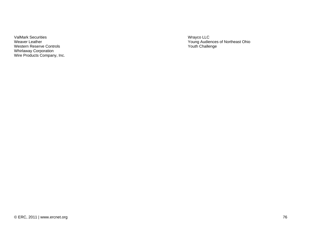ValMark Securities Weaver Leather Western Reserve Controls Whirlaway Corporation Wire Products Company, Inc. Wrayco LLC Young Audiences of Northeast Ohio Youth Challenge